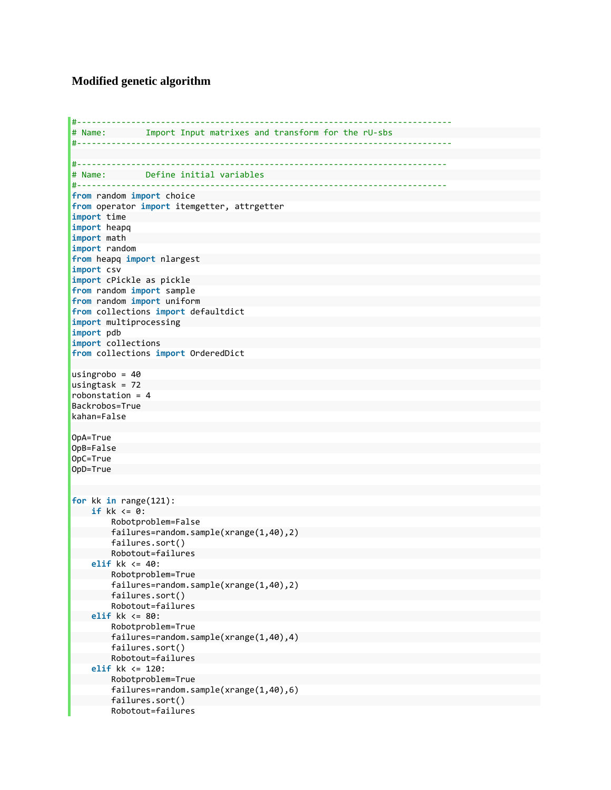## **Modified genetic algorithm**

```
#‐‐‐‐‐‐‐‐‐‐‐‐‐‐‐‐‐‐‐‐‐‐‐‐‐‐‐‐‐‐‐‐‐‐‐‐‐‐‐‐‐‐‐‐‐‐‐‐‐‐‐‐‐‐‐‐‐‐‐‐‐‐‐‐‐‐‐‐‐‐‐‐‐‐‐‐
# Name:        Import Input matrixes and transform for the rU‐sbs  
#‐‐‐‐‐‐‐‐‐‐‐‐‐‐‐‐‐‐‐‐‐‐‐‐‐‐‐‐‐‐‐‐‐‐‐‐‐‐‐‐‐‐‐‐‐‐‐‐‐‐‐‐‐‐‐‐‐‐‐‐‐‐‐‐‐‐‐‐‐‐‐‐‐‐‐‐
#‐‐‐‐‐‐‐‐‐‐‐‐‐‐‐‐‐‐‐‐‐‐‐‐‐‐‐‐‐‐‐‐‐‐‐‐‐‐‐‐‐‐‐‐‐‐‐‐‐‐‐‐‐‐‐‐‐‐‐‐‐‐‐‐‐‐‐‐‐‐‐‐‐‐‐
# Name:        Define initial variables  
#‐‐‐‐‐‐‐‐‐‐‐‐‐‐‐‐‐‐‐‐‐‐‐‐‐‐‐‐‐‐‐‐‐‐‐‐‐‐‐‐‐‐‐‐‐‐‐‐‐‐‐‐‐‐‐‐‐‐‐‐‐‐‐‐‐‐‐‐‐‐‐‐‐‐‐
from random import choice  
from operator import itemgetter, attrgetter  
import time  
import heapq  
import math  
import random  
from heapq import nlargest  
import csv  
import cPickle as pickle  
from random import sample  
from random import uniform  
from collections import defaultdict  
import multiprocessing  
import pdb  
import collections  
from collections import OrderedDict  
usingrobo = 40  
usingtask = 72robonstation = 4Backrobos=True  
kahan=False  
OpA=True  
OpB=False  
OpC=True  
OpD=True  
for kk in range(121):  
     if kk <= 0:  
                 Robotproblem=False  
                 failures=random.sample(xrange(1,40),2)  
                 failures.sort()  
                 Robotout=failures  
        elif kk <= 40:  
                 Robotproblem=True  
                 failures=random.sample(xrange(1,40),2)  
                 failures.sort()  
                 Robotout=failures  
        elif kk <= 80:  
                 Robotproblem=True  
                 failures=random.sample(xrange(1,40),4)  
                  failures.sort()  
                 Robotout=failures  
         elif kk <= 120:  
                 Robotproblem=True  
                 failures=random.sample(xrange(1,40),6)  
                 failures.sort()  
                 Robotout=failures
```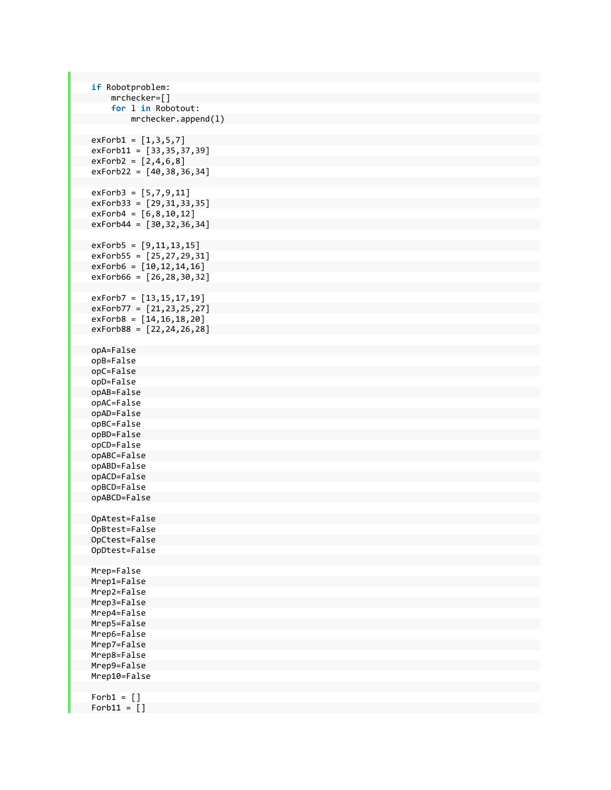```
    if Robotproblem:  
                 mrchecker=[]  
                 for l in Robotout:  
                          mrchecker.append(l)  
    exForb1 = [1,3,5,7]  
exForb11 = [33,35,37,39]<br>exForb2 = [2,4,6,8]
   exForb2 = [2, 4, 6, 8]exForb22 = [40, 38, 36, 34]    exForb3 = [5,7,9,11]  
    exForb33 = [29,31,33,35]  
        exForb4 = [6,8,10,12]  
    exForb44 = [30,32,36,34]  
    exForb5 = [9,11,13,15]  
    exForb55 = [25, 27, 29, 31]    exForb6 = [10,12,14,16]  
        exForb66 = [26,28,30,32]  
        exForb7 = [13,15,17,19]  
    exForb77 = [21,23,25,27]  
    exForb8 = [14, 16, 18, 20]    exForb88 = [22,24,26,28]  
    opA=False  
        opB=False  
    opC=False  
        opD=False  
    opAB=False  
        opAC=False  
    opAD=False  
        opBC=False  
    opBD=False  
        opCD=False  
    opABC=False  
        opABD=False  
       opACD=False  
        opBCD=False  
        opABCD=False  
        OpAtest=False  
        OpBtest=False  
        OpCtest=False  
        OpDtest=False  
        Mrep=False  
        Mrep1=False  
        Mrep2=False  
        Mrep3=False  
        Mrep4=False  
        Mrep5=False  
        Mrep6=False  
        Mrep7=False  
        Mrep8=False  
        Mrep9=False  
        Mrep10=False  
    Forb1 = []Forb11 = []
```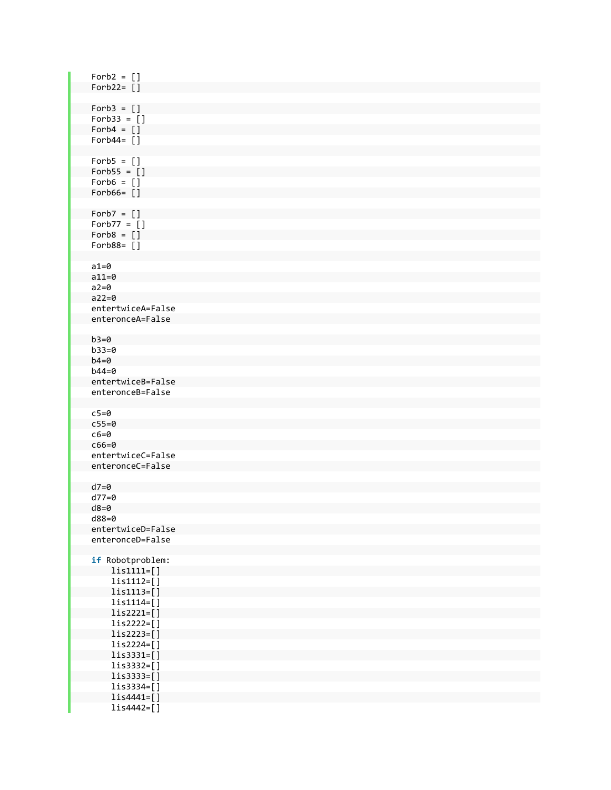| $Forb2 = []$                          |  |
|---------------------------------------|--|
| Forb22= $[]$                          |  |
| $Forb3 = []$                          |  |
| $Forb33 = []$                         |  |
| $Forb4 = []$<br>Forb44= $[]$          |  |
|                                       |  |
| $Forb5 = []$                          |  |
| $Forb55 = []$<br>$Forb6 = []$         |  |
| Forb66= $[ ]$                         |  |
|                                       |  |
| $Forb7 = []$<br>$Forb77 = []$         |  |
| $Forb8 = []$                          |  |
| Forb88= $[]$                          |  |
| $a1=0$                                |  |
| $a11=0$                               |  |
| $a2=0$<br>$a22=0$                     |  |
| entertwiceA=False                     |  |
| enteronceA=False                      |  |
| $b3=0$                                |  |
| $b33=0$                               |  |
| $b4=0$                                |  |
| $b44=0$<br>entertwiceB=False          |  |
| enteronceB=False                      |  |
|                                       |  |
| $c5=0$<br>$c55=0$                     |  |
| $c6 = 0$                              |  |
| $c66 = 0$<br>entertwiceC=False        |  |
| enteronceC=False                      |  |
|                                       |  |
| $d7=0$<br>$d77=0$                     |  |
| $d8=0$                                |  |
| d88=0                                 |  |
| entertwiceD=False<br>enteronceD=False |  |
|                                       |  |
| if Robotproblem:<br>$list1111=[]$     |  |
| $list1112 = []$                       |  |
| $list1113=[]$                         |  |
| $list1114=[]$<br>$lis2221=[]$         |  |
| $lis2222=[]$                          |  |
| $l$ is2223=[]                         |  |
| $lis2224=[]$<br>$l$ is3331=[]         |  |
| $l$ is3332=[]                         |  |
| $l$ is3333=[]                         |  |
| $l$ is3334=[]<br>$lis4441=[]$         |  |
| $lis4442=[]$                          |  |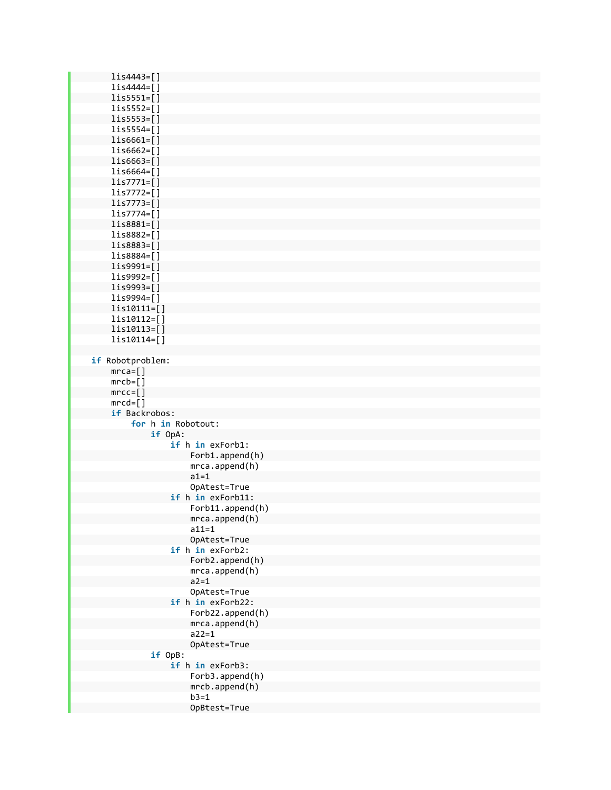| lis4443=[]             |                   |
|------------------------|-------------------|
| lis4444=[]             |                   |
| $l$ is5551=[]          |                   |
| $l$ is5552=[]          |                   |
| $l$ is5553=[]          |                   |
|                        |                   |
| $l$ is5554=[]          |                   |
| $l$ is6661=[]          |                   |
| $l$ is6662=[]          |                   |
| $l$ is6663=[]          |                   |
| $l$ is6664=[]          |                   |
| $lis7771=[]$           |                   |
| $lis7772=[]$           |                   |
| lis7773=[]             |                   |
| $lis7774 = []$         |                   |
| $l$ is8881=[]          |                   |
| lis8882=[]             |                   |
| lis8883=[]             |                   |
| lis8884=[]             |                   |
| $l$ is9991= $[]$       |                   |
| lis9992=[]             |                   |
|                        |                   |
| lis9993=[]             |                   |
| lis9994=[]             |                   |
| lis10111=[]            |                   |
| lis10112=[]            |                   |
| lis10113=[]            |                   |
| lis10114=[]            |                   |
|                        |                   |
| if Robotproblem:       |                   |
| $mrca = []$            |                   |
| $m\nc b = [ ]$         |                   |
| $mrec = [ ]$           |                   |
| $mrcd = \lceil \rceil$ |                   |
| if Backrobos:          |                   |
| for h in Robotout:     |                   |
| if OpA:                |                   |
|                        | if h in exForb1:  |
|                        | Forb1.append(h)   |
|                        | mca.append(h)     |
|                        | $a1=1$            |
|                        |                   |
|                        | OpAtest=True      |
|                        | if h in exForb11: |
|                        | Forb11.append(h)  |
|                        | mca.append(h)     |
|                        | $a11 = 1$         |
|                        | OpAtest=True      |
|                        | if h in exForb2:  |
|                        | Forb2.append(h)   |
|                        | mca.append(h)     |
|                        | $a2 = 1$          |
|                        | OpAtest=True      |
|                        | if h in exForb22: |
|                        | Forb22.append(h)  |
|                        | mca.append(h)     |
|                        | $a22 = 1$         |
|                        | OpAtest=True      |
| if OpB:                |                   |
|                        | if h in exForb3:  |
|                        | Forb3.append(h)   |
|                        | mcb.append(h)     |
|                        | $b3=1$            |
|                        | OpBtest=True      |
|                        |                   |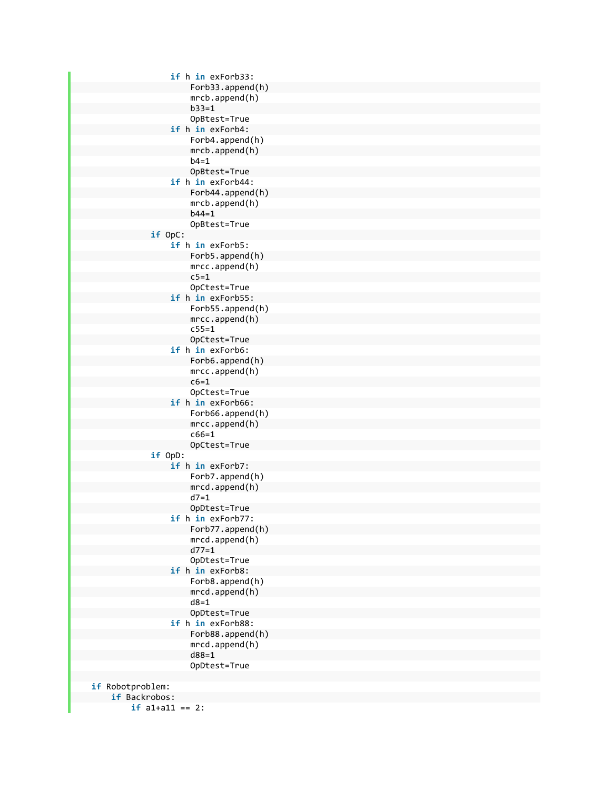```
                    if h in exForb33:  
                                                            Forb33.append(h)  
                                    mrcb.append(h)  
                                    b33=1  
                                    OpBtest=True  
                                                 if h in exForb4:  
                                                            Forb4.append(h)  
                                    mrcb.append(h)  
                                    b4=1OpBtest=True  
                                                 if h in exForb44:  
                                                            Forb44.append(h)  
                                    mrcb.append(h)  
                                    b44=1  
                                    OpBtest=True  
                                     if OpC:  
                                                 if h in exForb5:  
                                                            Forb5.append(h)  
                                    mrcc.append(h)  
                                    c5=1OpCtest=True  
                                                 if h in exForb55:  
                                                            Forb55.append(h)  
                                    mrcc.append(h)  
                                    c55=1  
                                    OpCtest=True  
                                                 if h in exForb6:  
                                                            Forb6.append(h)  
                                    mrcc.append(h)  
                                    c6=1  
                                    OpCtest=True  
                                                 if h in exForb66:  
                                                            Forb66.append(h)  
                                    mrcc.append(h)  
                                    c66=1  
                                    OpCtest=True  
                                     if OpD:  
                                                if h in exForb7:  
                                                            Forb7.append(h)  
                                    mrcd.append(h)  
                                    d7=1OpDtest=True  
                                                 if h in exForb77:  
                                                            Forb77.append(h)  
                                    mrcd.append(h)  
                                    d77=1  
                                    OpDtest=True  
                                                 if h in exForb8:  
                                                            Forb8.append(h)  
                                    mrcd.append(h)  
                                    d8=1  
                                    OpDtest=True  
                                                 if h in exForb88:  
                                                            Forb88.append(h)  
                                    mrcd.append(h)  
                                    d88=1  
                                    OpDtest=True  
    if Robotproblem:  
           if Backrobos:  
                          if a1+a11 == 2:
```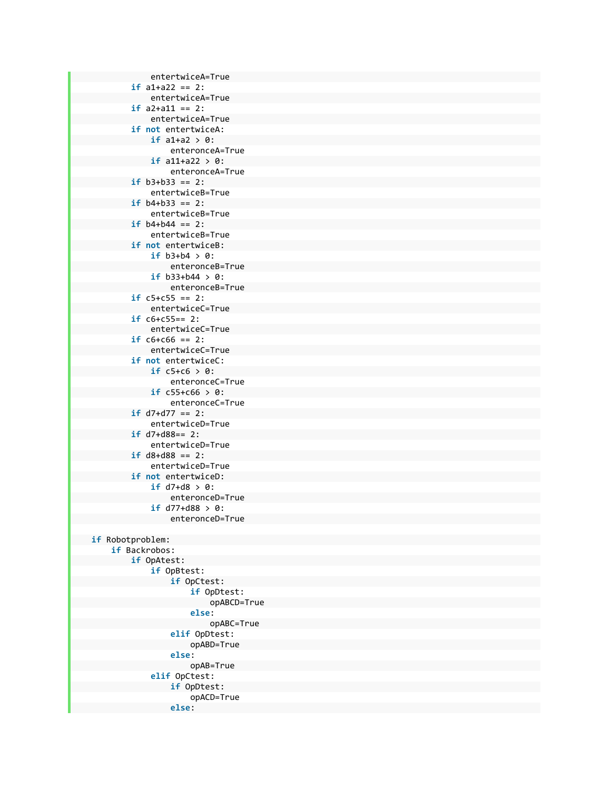entertwiceA=True **if** a1+a22 == 2: entertwiceA=True **if** a2+a11 == 2: entertwiceA=True **if not** entertwiceA: **if** a1+a2 > 0: enteronceA=True **if** a11+a22 > 0: enteronceA=True **if** b3+b33 == 2: entertwiceB=True **if** b4+b33 == 2: entertwiceB=True **if** b4+b44 == 2: entertwiceB=True **if not** entertwiceB: **if** b3+b4 > 0: enteronceB=True **if** b33+b44 > 0: enteronceB=True **if** c5+c55 == 2: entertwiceC=True **if** c6+c55== 2: entertwiceC=True **if** c6+c66 == 2: entertwiceC=True **if not** entertwiceC: **if**  $c5+c6 > 0$ : enteronceC=True **if** c55+c66 > 0: enteronceC=True **if** d7+d77 == 2: entertwiceD=True **if** d7+d88== 2: entertwiceD=True **if** d8+d88 == 2: entertwiceD=True **if not** entertwiceD: **if** d7+d8 > 0: enteronceD=True **if** d77+d88 > 0: enteronceD=True **if** Robotproblem: **if** Backrobos: **if** OpAtest: **if** OpBtest: **if** OpCtest: **if** OpDtest: opABCD=True **else**: opABC=True **elif** OpDtest: opABD=True **else**: opAB=True **elif** OpCtest: **if** OpDtest: opACD=True **else**: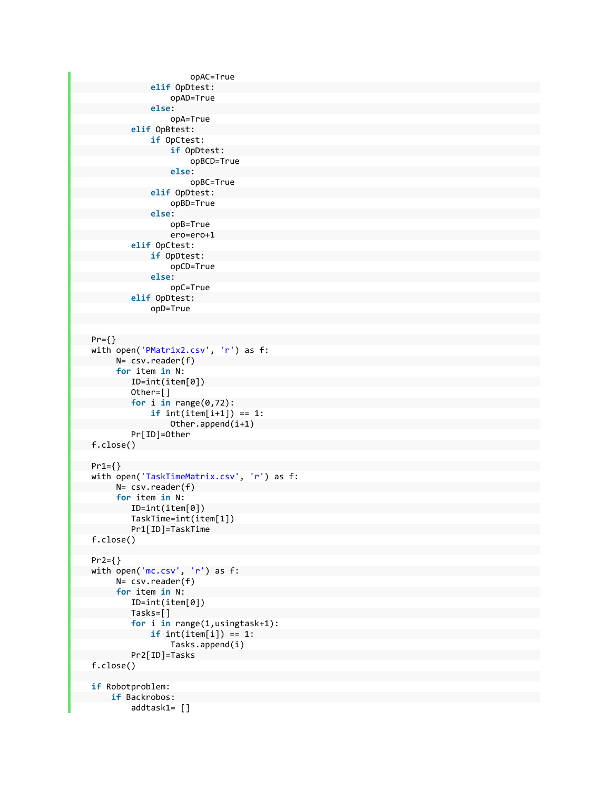```
                        opAC=True  
                                              elif OpDtest:  
                                                          opAD=True  
                                              else:  
                                                          opA=True  
                                  elif OpBtest:  
                                              if OpCtest:  
                                                          if OpDtest:  
                                                                      opBCD=True  
                                                          else:  
                                                                      opBC=True  
                                              elif OpDtest:  
                                                          opBD=True  
                                              else:  
                                                          opB=True  
                                      ero=ero+1  
                                  elif OpCtest:  
                                              if OpDtest:  
                                                          opCD=True  
                                              else:  
                                                          opC=True  
                                  elif OpDtest:  
                                              opD=True  
    Pr={}  
          with open('PMatrix2.csv', 'r') as f:  
                         N= csv.reader(f)  
                          for item in N:  
                                  ID=int(item[0])  
                                  Other=[]  
                                  for i in range(0,72):  
                                              if int(item[i+1]) == 1:  
                                                          Other.append(i+1)  
                                  Pr[ID]=Other  
    f.close()  
Pr1 = \{\}    with open('TaskTimeMatrix.csv', 'r') as f:  
                         N= csv.reader(f)  
                          for item in N:  
                                  ID=int(item[0])  
                                  TaskTime=int(item[1])  
                                  Pr1[ID]=TaskTime  
          f.close()  
          Pr2={}  
      with open('mc.csv', 'r') as f:
                         N= csv.reader(f)  
                         for item in N:  
                                  ID=int(item[0])  
                                  Tasks=[]  
                                  for i in range(1,usingtask+1):  
                                            if int(item[i]) == 1:  
                                                          Tasks.append(i)  
                                  Pr2[ID]=Tasks  
          f.close()  
          if Robotproblem:  
                    if Backrobos:  
                                  addtask1= []
```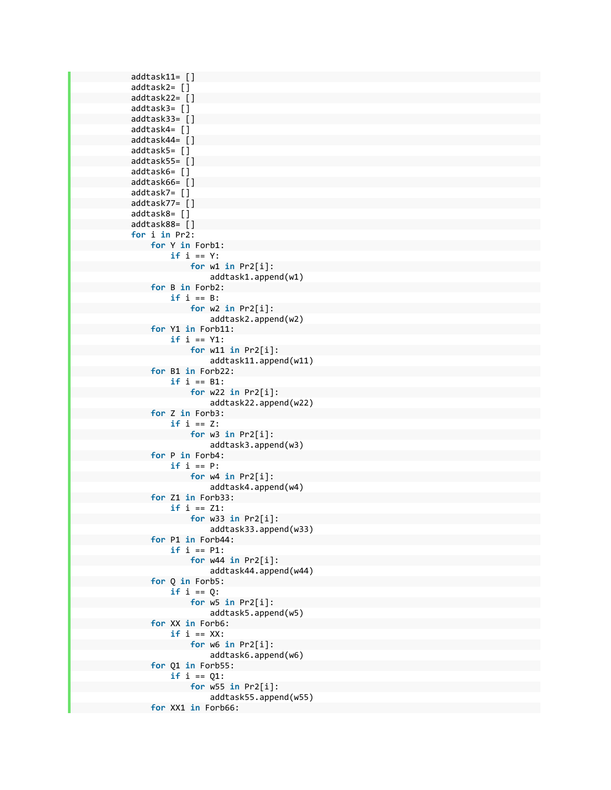```
            addtask11= []  
            addtask2= []  
            addtask22= []  
            addtask3= []  
            addtask33= []  
            addtask4= []  
            addtask44= []  
            addtask5= []  
addtask55=[]            addtask6= []  
            addtask66= []  
            addtask7= []  
            addtask77= []  
            addtask8= []  
            addtask88= []  
            for i in Pr2:  
                         for Y in Forb1:  
                                      if i == Y:  
                                                 for w1 in Pr2[i]:  
                                                                addtask1.append(w1)  
                         for B in Forb2:  
                                      if i == B:  
                                                 for w2 in Pr2[i]:  
                                                                addtask2.append(w2)  
                         for Y1 in Forb11:  
                                      if i == Y1:  
                                                 for w11 in Pr2[i]:  
                                                                addtask11.append(w11)  
                         for B1 in Forb22:  
                                      if i == B1:  
                                                 for w22 in Pr2[i]:  
                                                                addtask22.append(w22)  
                         for Z in Forb3:  
                                      if i == Z:  
                                                for w3 in Pr2[i]:  
                                                                addtask3.append(w3)  
                         for P in Forb4:  
                                      if i == P:  
                                                 for w4 in Pr2[i]:  
                                                                addtask4.append(w4)  
                         for Z1 in Forb33:  
                                      if i == Z1:  
                                                 for w33 in Pr2[i]:  
                                                                addtask33.append(w33)  
                         for P1 in Forb44:  
                                      if i == P1:  
                                                 for w44 in Pr2[i]:  
                                                                addtask44.append(w44)  
                         for Q in Forb5:  
                                      if i == Q:  
                                                for w5 in Pr2[i]:  
                                                                addtask5.append(w5)  
                         for XX in Forb6:  
                  if i == XX:
                                                 for w6 in Pr2[i]:  
                                                                addtask6.append(w6)  
                         for Q1 in Forb55:  
                                      if i == Q1:  
                                                  for w55 in Pr2[i]:  
                                                                addtask55.append(w55)  
                         for XX1 in Forb66:
```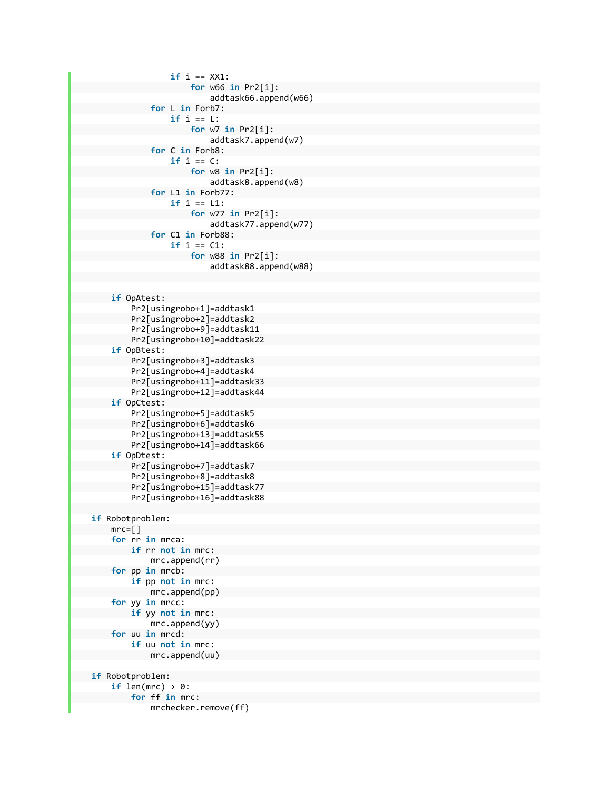```
                    if i == XX1:  
                                                             for w66 in Pr2[i]:  
                                                                        addtask66.append(w66)  
                                      for L in Forb7:  
                                                 if i == L:  
                                                             for w7 in Pr2[i]:  
                                                                        addtask7.append(w7)  
                                      for C in Forb8:  
                                                 if i == C:  
                                                             for w8 in Pr2[i]:  
                                                                        addtask8.append(w8)  
                                      for L1 in Forb77:  
                                                 if i == L1:  
                                                             for w77 in Pr2[i]:  
                                                                        addtask77.append(w77)  
                                      for C1 in Forb88:  
                                                 if i == C1:  
                                                             for w88 in Pr2[i]:  
                                                                        addtask88.append(w88)  
               if OpAtest:  
                          Pr2[usingrobo+1]=addtask1  
                          Pr2[usingrobo+2]=addtask2  
                          Pr2[usingrobo+9]=addtask11  
                          Pr2[usingrobo+10]=addtask22  
               if OpBtest:  
                          Pr2[usingrobo+3]=addtask3  
                          Pr2[usingrobo+4]=addtask4  
                          Pr2[usingrobo+11]=addtask33  
                          Pr2[usingrobo+12]=addtask44  
               if OpCtest:  
                          Pr2[usingrobo+5]=addtask5  
                          Pr2[usingrobo+6]=addtask6  
                          Pr2[usingrobo+13]=addtask55  
                          Pr2[usingrobo+14]=addtask66  
               if OpDtest:  
                          Pr2[usingrobo+7]=addtask7  
                          Pr2[usingrobo+8]=addtask8  
                          Pr2[usingrobo+15]=addtask77  
                          Pr2[usingrobo+16]=addtask88  
    if Robotproblem:  
      mrc = []        for rr in mrca:  
                          if rr not in mrc:  
                                     mrc.append(rr)  
               for pp in mrcb:  
                          if pp not in mrc:  
                                     mrc.append(pp)  
               for yy in mrcc:  
                          if yy not in mrc:  
                                      mrc.append(yy)  
               for uu in mrcd:  
                          if uu not in mrc:  
                                     mrc.append(uu)  
    if Robotproblem:  
       if len(mrc) > 0:
                          for ff in mrc:  
                                      mrchecker.remove(ff)
```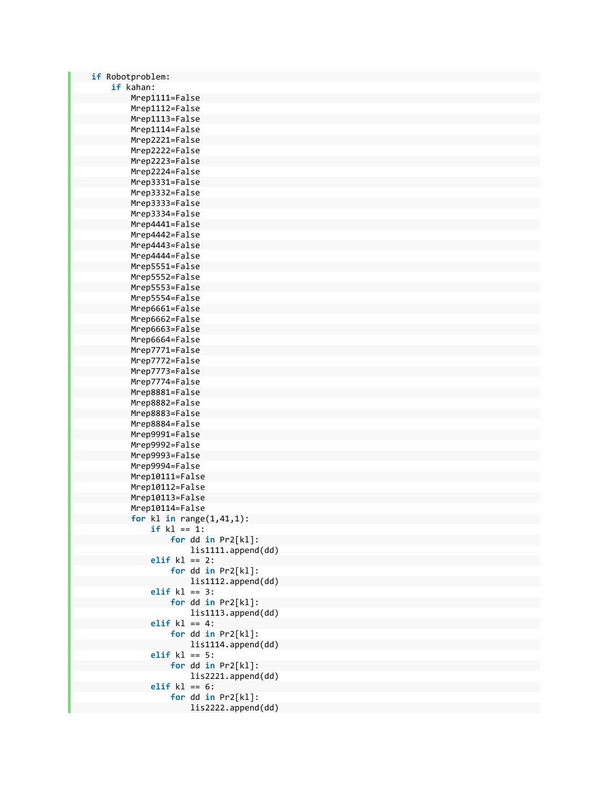| if Robotproblem:                                |
|-------------------------------------------------|
| if kahan:                                       |
| Mrep1111=False                                  |
| Mrep1112=False                                  |
| Mrep1113=False                                  |
| Mrep1114=False                                  |
| Mrep2221=False                                  |
| Mrep2222=False                                  |
| Mrep2223=False                                  |
| Mrep2224=False                                  |
| Mrep3331=False                                  |
| Mrep3332=False                                  |
| Mrep3333=False                                  |
| Mrep3334=False                                  |
| Mrep4441=False                                  |
|                                                 |
| Mrep4442=False                                  |
| Mrep4443=False                                  |
| Mrep4444=False                                  |
| Mrep5551=False                                  |
| Mrep5552=False                                  |
| Mrep5553=False                                  |
| Mrep5554=False                                  |
| Mrep6661=False                                  |
| Mrep6662=False                                  |
| Mrep6663=False                                  |
| Mrep6664=False                                  |
| Mrep7771=False                                  |
| Mrep7772=False                                  |
| Mrep7773=False                                  |
| Mrep7774=False                                  |
| Mrep8881=False                                  |
| Mrep8882=False                                  |
| Mrep8883=False                                  |
| Mrep8884=False                                  |
| Mrep9991=False                                  |
| Mrep9992=False                                  |
| Mrep9993=False                                  |
| Mrep9994=False                                  |
| Mrep10111=False                                 |
| Mrep10112=False                                 |
| Mrep10113=False                                 |
|                                                 |
| Mrep10114=False                                 |
| for $k1$ in range $(1,41,1)$ :<br>$if k1 == 1:$ |
|                                                 |
| for $dd in Pr2[k1]$ :                           |
| lis1111.append(dd)                              |
| elif $k1 == 2$ :                                |
| for $dd$ in $Pr2[k1]$ :                         |
| lis1112.append(dd)                              |
| elif $k1 == 3$ :                                |
| for dd in Pr2[kl]:                              |
| lis1113.append(dd)                              |
| elif $k$ l == 4:                                |
| for dd in Pr2[kl]:                              |
| lis1114.append(dd)                              |
| elif $k1 == 5$ :                                |
| for dd in Pr2[kl]:                              |
| lis2221.append(dd)                              |
| elif $k1 == 6$ :                                |
| for dd in Pr2[kl]:                              |
| lis2222.append(dd)                              |
|                                                 |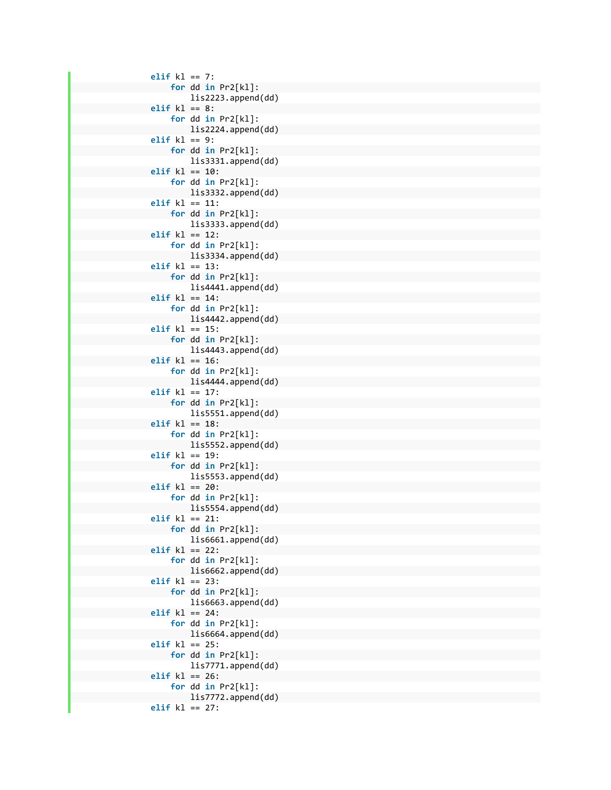```
                elif kl == 7:  
                             for dd in Pr2[kl]:  
                                          lis2223.append(dd)  
                elif kl == 8:  
                             for dd in Pr2[kl]:  
                                          lis2224.append(dd)  
                elif kl == 9:  
                             for dd in Pr2[kl]:  
                                          lis3331.append(dd)  
                elif kl == 10:  
                             for dd in Pr2[kl]:  
                                          lis3332.append(dd)  
                elif kl == 11:  
                             for dd in Pr2[kl]:  
                                          lis3333.append(dd)  
                elif kl == 12:  
                             for dd in Pr2[kl]:  
                                          lis3334.append(dd)  
                elif kl == 13:  
                             for dd in Pr2[kl]:  
                                          lis4441.append(dd)  
                elif kl == 14:  
                             for dd in Pr2[kl]:  
                                          lis4442.append(dd)  
                elif kl == 15:  
                             for dd in Pr2[kl]:  
                                          lis4443.append(dd)  
                elif kl == 16:  
                             for dd in Pr2[kl]:  
                                          lis4444.append(dd)  
                elif kl == 17:  
                             for dd in Pr2[kl]:  
                                          lis5551.append(dd)  
                elif kl == 18:  
                             for dd in Pr2[kl]:  
                                          lis5552.append(dd)  
                elif kl == 19:  
                             for dd in Pr2[kl]:  
                                          lis5553.append(dd)  
                elif kl == 20:  
                             for dd in Pr2[kl]:  
                                          lis5554.append(dd)  
                elif kl == 21:  
                             for dd in Pr2[kl]:  
                                          lis6661.append(dd)  
                elif kl == 22:  
                             for dd in Pr2[kl]:  
                                          lis6662.append(dd)  
                elif kl == 23:  
                             for dd in Pr2[kl]:  
                                          lis6663.append(dd)  
                elif kl == 24:  
                             for dd in Pr2[kl]:  
                                          lis6664.append(dd)  
                elif kl == 25:  
                             for dd in Pr2[kl]:  
                                          lis7771.append(dd)  
                elif kl == 26:  
                             for dd in Pr2[kl]:  
                                          lis7772.append(dd)  
                elif kl == 27:
```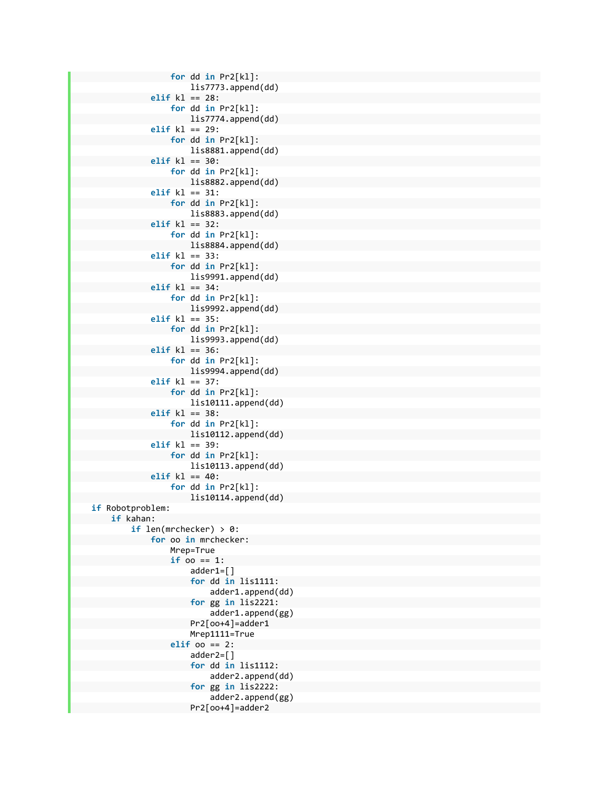```
                    for dd in Pr2[kl]:  
                                                                     lis7773.append(dd)  
                                          elif kl == 28:  
                                                        for dd in Pr2[kl]:  
                                                                     lis7774.append(dd)  
                                           elif kl == 29:  
                                                       for dd in Pr2[kl]:  
                                                                     lis8881.append(dd)  
                                           elif kl == 30:  
                                                        for dd in Pr2[kl]:  
                                                                     lis8882.append(dd)  
                                          elif kl == 31:  
                                                       for dd in Pr2[kl]:  
                                                                     lis8883.append(dd)  
                                           elif kl == 32:  
                                                        for dd in Pr2[kl]:  
                                                                     lis8884.append(dd)  
                                          elif kl == 33:  
                                                       for dd in Pr2[kl]:  
                                                                     lis9991.append(dd)  
                                           elif kl == 34:  
                                                        for dd in Pr2[kl]:  
                                                                     lis9992.append(dd)  
                                           elif kl == 35:  
                                                       for dd in Pr2[kl]:  
                                                                     lis9993.append(dd)  
                                           elif kl == 36:  
                                                        for dd in Pr2[kl]:  
                                                                     lis9994.append(dd)  
                                           elif kl == 37:  
                                                       for dd in Pr2[kl]:  
                                                                     lis10111.append(dd)  
                                           elif kl == 38:  
                                                        for dd in Pr2[kl]:  
                                                                     lis10112.append(dd)  
                                           elif kl == 39:  
                                                       for dd in Pr2[kl]:  
                                                                     lis10113.append(dd)  
                                           elif kl == 40:  
                                                        for dd in Pr2[kl]:  
                                                                    lis10114.append(dd)  
    if Robotproblem:  
                if kahan:  
                             if len(mrchecker) > 0:  
                                          for oo in mrchecker:  
                                                       Mrep=True  
                                    if oo == 1:  
                                                                     adder1=[]  
                                             for dd in lis1111:  
                                                                                  adder1.append(dd)  
                                                                     for gg in lis2221:  
                                                                                  adder1.append(gg)  
                                                                     Pr2[oo+4]=adder1  
                                             Mrep1111=True  
                                                        elif oo == 2:  
                                                                     adder2=[]  
                                             for dd in lis1112:  
                                                                                  adder2.append(dd)  
                                                                     for gg in lis2222:  
                                                                                  adder2.append(gg)  
                                                                     Pr2[oo+4]=adder2
```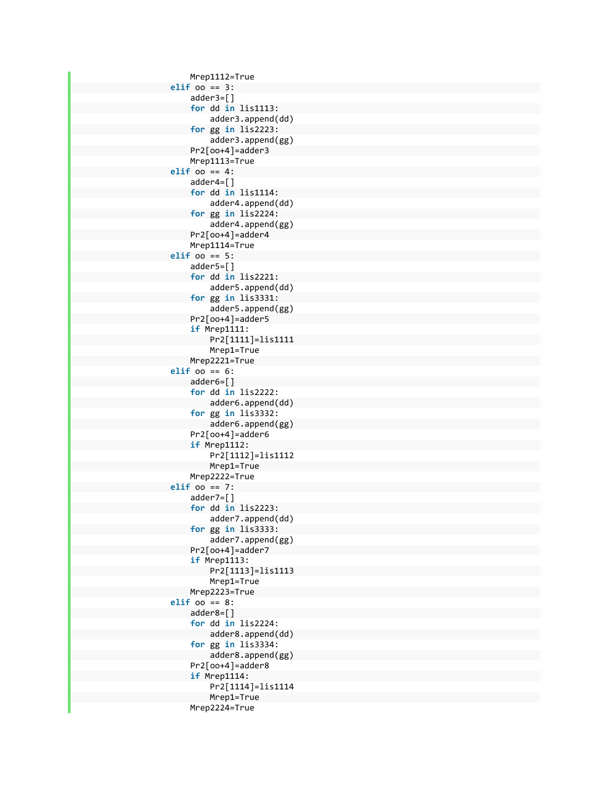Mrep1112=True **elif** oo == 3: adder3=[] **for** dd **in** lis1113: adder3.append(dd) **for** gg **in** lis2223: adder3.append(gg) Pr2[oo+4]=adder3 Mrep1113=True **elif** oo == 4: adder4=[] **for** dd **in** lis1114: adder4.append(dd) **for** gg **in** lis2224: adder4.append(gg) Pr2[oo+4]=adder4 Mrep1114=True **elif** oo == 5: adder5=[] **for** dd **in** lis2221: adder5.append(dd) **for** gg **in** lis3331: adder5.append(gg) Pr2[oo+4]=adder5 **if** Mrep1111: Pr2[1111]=lis1111 Mrep1=True Mrep2221=True **elif** oo == 6: adder6=[] **for** dd **in** lis2222: adder6.append(dd) **for** gg **in** lis3332: adder6.append(gg) Pr2[oo+4]=adder6 **if** Mrep1112: Pr2[1112]=lis1112 Mrep1=True Mrep2222=True **elif** oo == 7: adder7=[] **for** dd **in** lis2223: adder7.append(dd) **for** gg **in** lis3333: adder7.append(gg) Pr2[oo+4]=adder7 **if** Mrep1113: Pr2[1113]=lis1113 Mrep1=True Mrep2223=True **elif** oo == 8: adder8=[] **for** dd **in** lis2224: adder8.append(dd) **for** gg **in** lis3334: adder8.append(gg) Pr2[oo+4]=adder8 **if** Mrep1114: Pr2[1114]=lis1114 Mrep1=True Mrep2224=True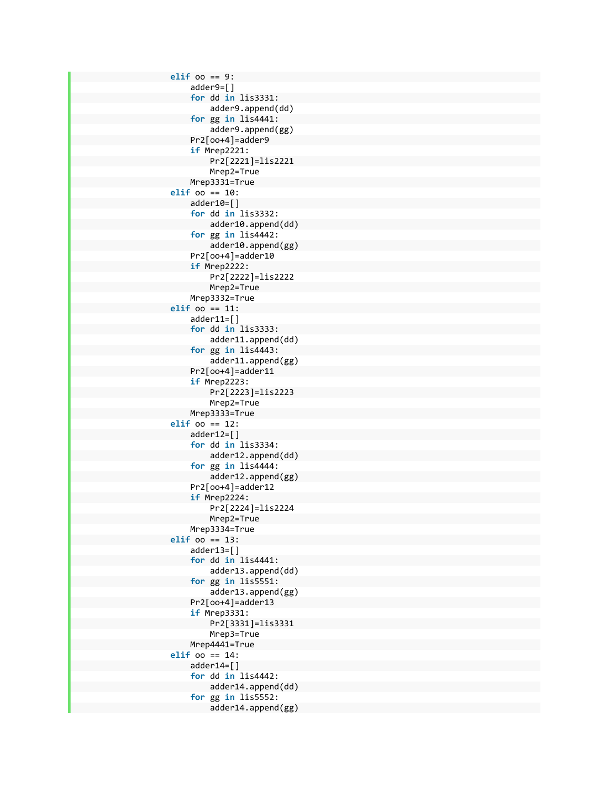**elif** oo == 9: adder9=[] **for** dd **in** lis3331: adder9.append(dd) **for** gg **in** lis4441: adder9.append(gg) Pr2[oo+4]=adder9 **if** Mrep2221: Pr2[2221]=lis2221 Mrep2=True Mrep3331=True **elif** oo == 10: adder10=[] **for** dd **in** lis3332: adder10.append(dd) **for** gg **in** lis4442: adder10.append(gg) Pr2[oo+4]=adder10 **if** Mrep2222: Pr2[2222]=lis2222 Mrep2=True Mrep3332=True **elif** oo == 11: adder11=[] **for** dd **in** lis3333: adder11.append(dd) **for** gg **in** lis4443: adder11.append(gg) Pr2[oo+4]=adder11 **if** Mrep2223: Pr2[2223]=lis2223 Mrep2=True Mrep3333=True **elif** oo == 12: adder12=[] **for** dd **in** lis3334: adder12.append(dd) **for** gg **in** lis4444: adder12.append(gg) Pr2[oo+4]=adder12 **if** Mrep2224: Pr2[2224]=lis2224 Mrep2=True Mrep3334=True **elif** oo == 13: adder13=[] **for** dd **in** lis4441: adder13.append(dd) **for** gg **in** lis5551: adder13.append(gg) Pr2[oo+4]=adder13 **if** Mrep3331: Pr2[3331]=lis3331 Mrep3=True Mrep4441=True **elif** oo == 14: adder14=[] **for** dd **in** lis4442: adder14.append(dd) **for** gg **in** lis5552: adder14.append(gg)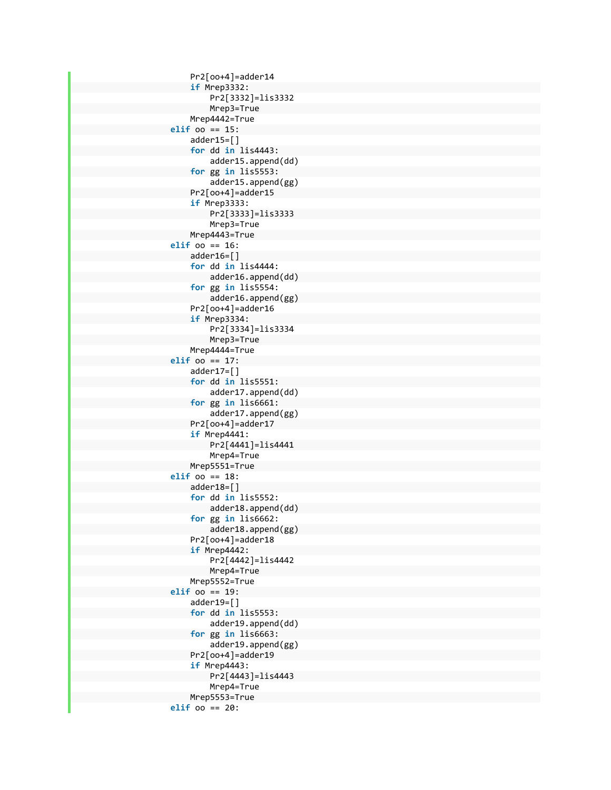Pr2[oo+4]=adder14 **if** Mrep3332: Pr2[3332]=lis3332 Mrep3=True Mrep4442=True **elif** oo == 15: adder15=[] **for** dd **in** lis4443: adder15.append(dd) **for** gg **in** lis5553: adder15.append(gg) Pr2[oo+4]=adder15 **if** Mrep3333: Pr2[3333]=lis3333 Mrep3=True Mrep4443=True **elif** oo == 16: adder16=[] **for** dd **in** lis4444: adder16.append(dd) **for** gg **in** lis5554: adder16.append(gg) Pr2[oo+4]=adder16 **if** Mrep3334: Pr2[3334]=lis3334 Mrep3=True Mrep4444=True **elif** oo == 17: adder17=[] **for** dd **in** lis5551: adder17.append(dd) **for** gg **in** lis6661: adder17.append(gg) Pr2[oo+4]=adder17 **if** Mrep4441: Pr2[4441]=lis4441 Mrep4=True Mrep5551=True **elif** oo == 18: adder18=[] **for** dd **in** lis5552: adder18.append(dd) **for** gg **in** lis6662: adder18.append(gg) Pr2[oo+4]=adder18 **if** Mrep4442: Pr2[4442]=lis4442 Mrep4=True Mrep5552=True **elif** oo == 19: adder19=[] **for** dd **in** lis5553: adder19.append(dd) **for** gg **in** lis6663: adder19.append(gg) Pr2[oo+4]=adder19 **if** Mrep4443: Pr2[4443]=lis4443 Mrep4=True Mrep5553=True **elif** oo == 20: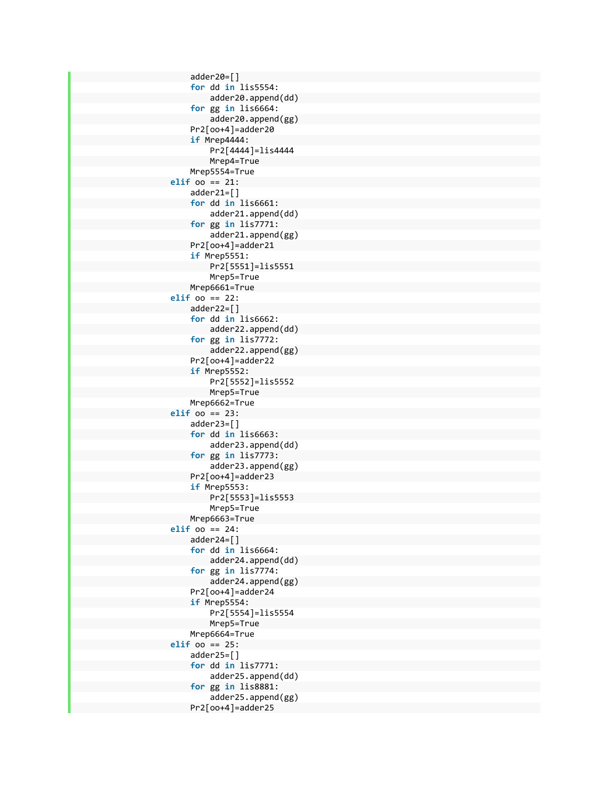adder20=[] **for** dd **in** lis5554: adder20.append(dd) **for** gg **in** lis6664: adder20.append(gg) Pr2[oo+4]=adder20 **if** Mrep4444: Pr2[4444]=lis4444 Mrep4=True Mrep5554=True **elif** oo == 21: adder21=[] **for** dd **in** lis6661: adder21.append(dd) **for** gg **in** lis7771: adder21.append(gg) Pr2[oo+4]=adder21 **if** Mrep5551: Pr2[5551]=lis5551 Mrep5=True Mrep6661=True **elif** oo == 22: adder22=[] **for** dd **in** lis6662: adder22.append(dd) **for** gg **in** lis7772: adder22.append(gg) Pr2[oo+4]=adder22 **if** Mrep5552: Pr2[5552]=lis5552 Mrep5=True Mrep6662=True **elif** oo == 23: adder23=[] **for** dd **in** lis6663: adder23.append(dd) **for** gg **in** lis7773: adder23.append(gg) Pr2[oo+4]=adder23 **if** Mrep5553: Pr2[5553]=lis5553 Mrep5=True Mrep6663=True **elif** oo == 24: adder24=[] **for** dd **in** lis6664: adder24.append(dd) **for** gg **in** lis7774: adder24.append(gg) Pr2[oo+4]=adder24 **if** Mrep5554: Pr2[5554]=lis5554 Mrep5=True Mrep6664=True **elif** oo == 25: adder25=[] **for** dd **in** lis7771: adder25.append(dd) **for** gg **in** lis8881: adder25.append(gg) Pr2[oo+4]=adder25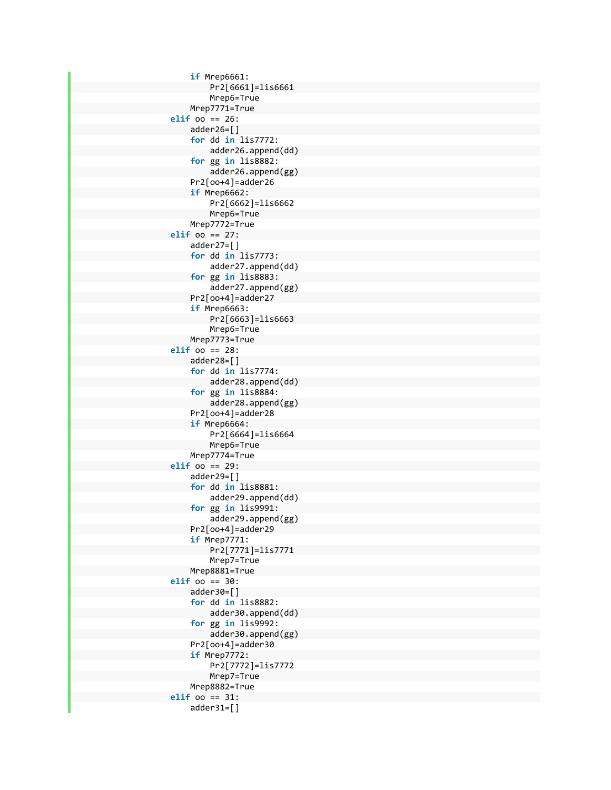**if** Mrep6661: Pr2[6661]=lis6661 Mrep6=True Mrep7771=True **elif** oo == 26: adder26=[] **for** dd **in** lis7772: adder26.append(dd) **for** gg **in** lis8882: adder26.append(gg) Pr2[oo+4]=adder26 **if** Mrep6662: Pr2[6662]=lis6662 Mrep6=True Mrep7772=True **elif** oo == 27: adder27=[] **for** dd **in** lis7773: adder27.append(dd) **for** gg **in** lis8883: adder27.append(gg) Pr2[oo+4]=adder27 **if** Mrep6663: Pr2[6663]=lis6663 Mrep6=True Mrep7773=True **elif** oo == 28: adder28=[] **for** dd **in** lis7774: adder28.append(dd) **for** gg **in** lis8884: adder28.append(gg) Pr2[oo+4]=adder28 **if** Mrep6664: Pr2[6664]=lis6664 Mrep6=True Mrep7774=True **elif** oo == 29: adder29=[] **for** dd **in** lis8881: adder29.append(dd) **for** gg **in** lis9991: adder29.append(gg) Pr2[oo+4]=adder29 **if** Mrep7771: Pr2[7771]=lis7771 Mrep7=True Mrep8881=True **elif** oo == 30: adder30=[] **for** dd **in** lis8882: adder30.append(dd) **for** gg **in** lis9992: adder30.append(gg) Pr2[oo+4]=adder30 **if** Mrep7772: Pr2[7772]=lis7772 Mrep7=True Mrep8882=True **elif** oo == 31: adder31=[]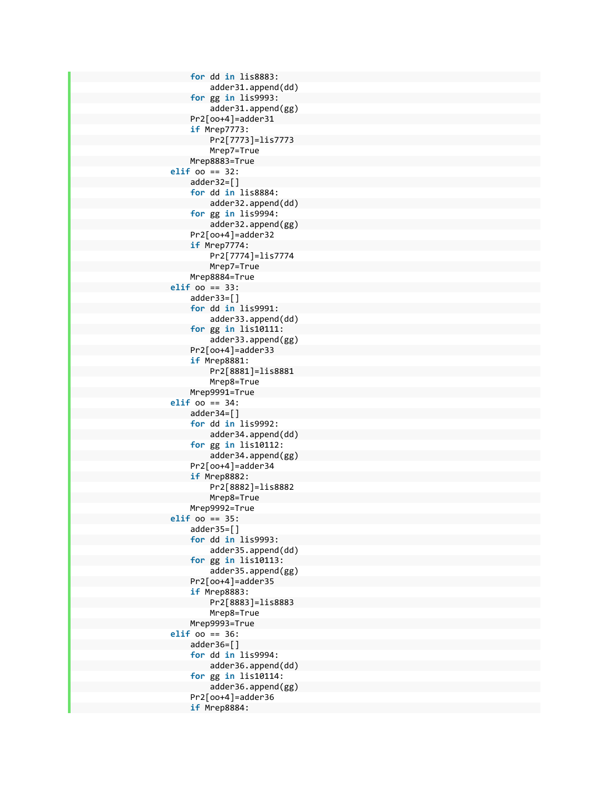**for** dd **in** lis8883: adder31.append(dd) **for** gg **in** lis9993: adder31.append(gg) Pr2[oo+4]=adder31 **if** Mrep7773: Pr2[7773]=lis7773 Mrep7=True Mrep8883=True **elif** oo == 32: adder32=[] **for** dd **in** lis8884: adder32.append(dd) **for** gg **in** lis9994: adder32.append(gg) Pr2[oo+4]=adder32 **if** Mrep7774: Pr2[7774]=lis7774 Mrep7=True Mrep8884=True **elif** oo == 33: adder33=[] **for** dd **in** lis9991: adder33.append(dd) **for** gg **in** lis10111: adder33.append(gg) Pr2[oo+4]=adder33 **if** Mrep8881: Pr2[8881]=lis8881 Mrep8=True Mrep9991=True **elif** oo == 34: adder34=[] **for** dd **in** lis9992: adder34.append(dd) **for** gg **in** lis10112: adder34.append(gg) Pr2[oo+4]=adder34 **if** Mrep8882: Pr2[8882]=lis8882 Mrep8=True Mrep9992=True **elif** oo == 35: adder35=[] **for** dd **in** lis9993: adder35.append(dd) **for** gg **in** lis10113: adder35.append(gg) Pr2[oo+4]=adder35 **if** Mrep8883: Pr2[8883]=lis8883 Mrep8=True Mrep9993=True **elif** oo == 36: adder36=[] **for** dd **in** lis9994: adder36.append(dd) **for** gg **in** lis10114: adder36.append(gg) Pr2[oo+4]=adder36 **if** Mrep8884: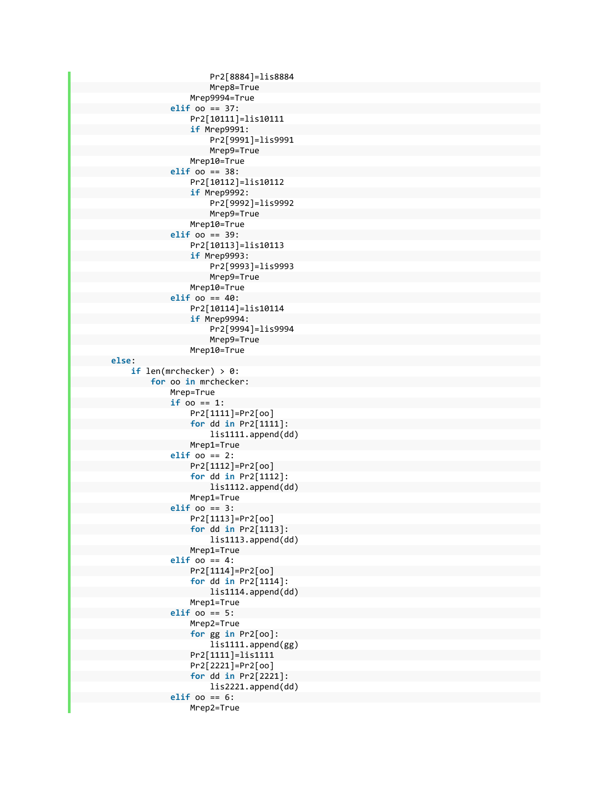```
                            Pr2[8884]=lis8884  
                                            Mrep8=True  
                                                           Mrep9994=True  
                                               elif oo == 37:  
                                                           Pr2[10111]=lis10111  
                                   if Mrep9991:  
                                                                        Pr2[9991]=lis9991  
                                            Mrep9=True  
                                                           Mrep10=True  
                                               elif oo == 38:  
                                                           Pr2[10112]=lis10112  
                                   if Mrep9992:  
                                                                        Pr2[9992]=lis9992  
                                            Mrep9=True  
                                                           Mrep10=True  
                                               elif oo == 39:  
                                                           Pr2[10113]=lis10113  
                                   if Mrep9993:  
                                                                        Pr2[9993]=lis9993  
                                            Mrep9=True  
                                                           Mrep10=True  
                                               elif oo == 40:  
                                                           Pr2[10114]=lis10114  
                                    if Mrep9994:  
                                                                        Pr2[9994]=lis9994  
                                            Mrep9=True  
                                                           Mrep10=True  
        else:  
                     if len(mrchecker) > 0:  
                                 for oo in mrchecker:  
                                              Mrep=True  
                           if oo == 1:  
                                                           Pr2[1111]=Pr2[oo]  
                                   for dd in Pr2[1111]:  
                                                                        lis1111.append(dd)  
                                                           Mrep1=True  
                                               elif oo == 2:  
                                                           Pr2[1112]=Pr2[oo]  
                                   for dd in Pr2[1112]:  
                                                                        lis1112.append(dd)  
                                                           Mrep1=True  
                                               elif oo == 3:  
                                                           Pr2[1113]=Pr2[oo]  
                                   for dd in Pr2[1113]:  
                                                                        lis1113.append(dd)  
                                                           Mrep1=True  
                                               elif oo == 4:  
                                                           Pr2[1114]=Pr2[oo]  
                                   for dd in Pr2[1114]:  
                                                                        lis1114.append(dd)  
                                                           Mrep1=True  
                                               elif oo == 5:  
                                                           Mrep2=True  
                                   for gg in Pr2[oo]:  
                                                                        lis1111.append(gg)  
                                                           Pr2[1111]=lis1111  
                                   Pr2[2221]=Pr2[oo]  
                                   for dd in Pr2[2221]:  
                                                                        lis2221.append(dd)  
                                               elif oo == 6:  
                                                           Mrep2=True
```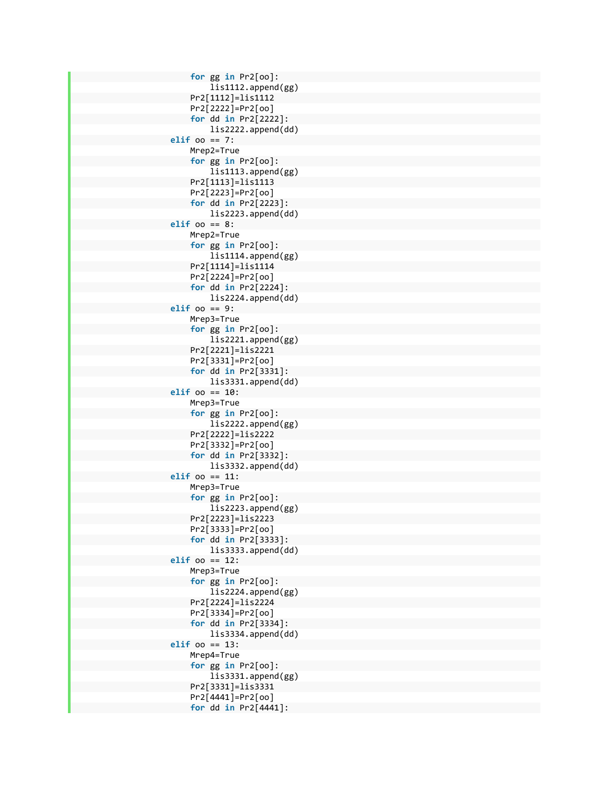```
                        for gg in Pr2[oo]:  
                                           lis1112.append(gg)  
                               Pr2[1112]=lis1112  
       Pr2[2222]=Pr2[oo]  
       for dd in Pr2[2222]:  
                                            lis2222.append(dd)  
                    elif oo == 7:  
                               Mrep2=True  
       for gg in Pr2[oo]:  
                                            lis1113.append(gg)  
                               Pr2[1113]=lis1113  
       Pr2[2223]=Pr2[oo]  
       for dd in Pr2[2223]:  
                                            lis2223.append(dd)  
                    elif oo == 8:  
                               Mrep2=True  
       for gg in Pr2[oo]:  
                                            lis1114.append(gg)  
                               Pr2[1114]=lis1114  
       Pr2[2224]=Pr2[oo]  
       for dd in Pr2[2224]:  
                                            lis2224.append(dd)  
                    elif oo == 9:  
                               Mrep3=True  
       for gg in Pr2[oo]:  
                                            lis2221.append(gg)  
                               Pr2[2221]=lis2221  
       Pr2[3331]=Pr2[oo]  
       for dd in Pr2[3331]:  
                                           lis3331.append(dd)  
                    elif oo == 10:  
                               Mrep3=True  
       for gg in Pr2[oo]:  
                                            lis2222.append(gg)  
                               Pr2[2222]=lis2222  
       Pr2[3332]=Pr2[oo]  
       for dd in Pr2[3332]:  
                                            lis3332.append(dd)  
                    elif oo == 11:  
                               Mrep3=True  
       for gg in Pr2[oo]:  
                                            lis2223.append(gg)  
                               Pr2[2223]=lis2223  
       Pr2[3333]=Pr2[oo]  
       for dd in Pr2[3333]:  
                                           lis3333.append(dd)  
                    elif oo == 12:  
                               Mrep3=True  
       for gg in Pr2[oo]:  
                                            lis2224.append(gg)  
                               Pr2[2224]=lis2224  
       Pr2[3334]=Pr2[oo]  
       for dd in Pr2[3334]:  
                                            lis3334.append(dd)  
                    elif oo == 13:  
                               Mrep4=True  
       for gg in Pr2[oo]:  
                                            lis3331.append(gg)  
                               Pr2[3331]=lis3331  
       Pr2[4441]=Pr2[oo]  
       for dd in Pr2[4441]:
```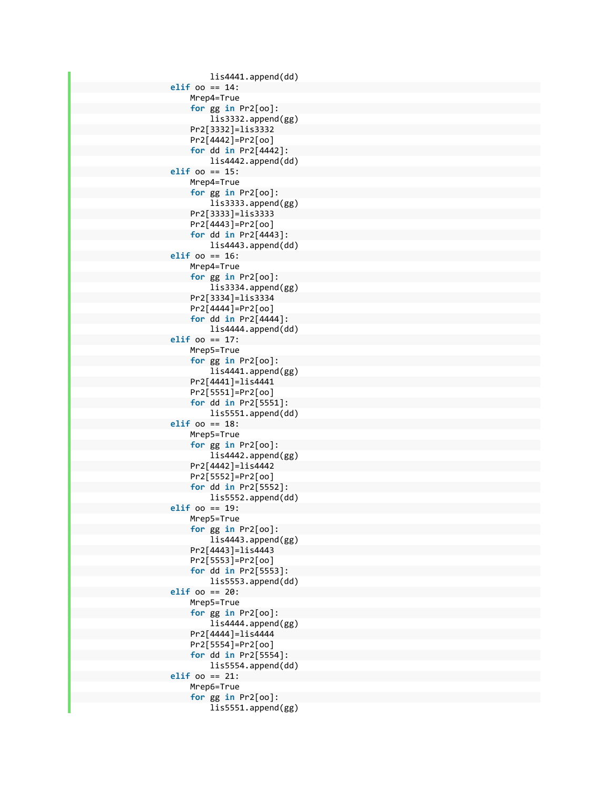```
                            lis4441.append(dd)  
                    elif oo == 14:  
                                Mrep4=True  
        for gg in Pr2[oo]:  
                                            lis3332.append(gg)  
                                Pr2[3332]=lis3332  
        Pr2[4442]=Pr2[oo]  
        for dd in Pr2[4442]:  
                                            lis4442.append(dd)  
                    elif oo == 15:  
                                Mrep4=True  
        for gg in Pr2[oo]:  
                                            lis3333.append(gg)  
                                Pr2[3333]=lis3333  
        Pr2[4443]=Pr2[oo]  
        for dd in Pr2[4443]:  
                                            lis4443.append(dd)  
                    elif oo == 16:  
                                Mrep4=True  
        for gg in Pr2[oo]:  
                                            lis3334.append(gg)  
                                Pr2[3334]=lis3334  
        Pr2[4444]=Pr2[oo]  
        for dd in Pr2[4444]:  
                                            lis4444.append(dd)  
                    elif oo == 17:  
                                Mrep5=True  
        for gg in Pr2[oo]:  
                                            lis4441.append(gg)  
                                Pr2[4441]=lis4441  
        Pr2[5551]=Pr2[oo]  
        for dd in Pr2[5551]:  
                                            lis5551.append(dd)  
                    elif oo == 18:  
                                Mrep5=True  
        for gg in Pr2[oo]:  
                                            lis4442.append(gg)  
                                Pr2[4442]=lis4442  
        Pr2[5552]=Pr2[oo]  
        for dd in Pr2[5552]:  
                                            lis5552.append(dd)  
                    elif oo == 19:  
                                Mrep5=True  
        for gg in Pr2[oo]:  
                                            lis4443.append(gg)  
                                Pr2[4443]=lis4443  
        Pr2[5553]=Pr2[oo]  
        for dd in Pr2[5553]:  
                                            lis5553.append(dd)  
                    elif oo == 20:  
                                Mrep5=True  
        for gg in Pr2[oo]:  
                                            lis4444.append(gg)  
                                Pr2[4444]=lis4444  
        Pr2[5554]=Pr2[oo]  
        for dd in Pr2[5554]:  
                                            lis5554.append(dd)  
                    elif oo == 21:  
                                Mrep6=True  
        for gg in Pr2[oo]:  
                                            lis5551.append(gg)
```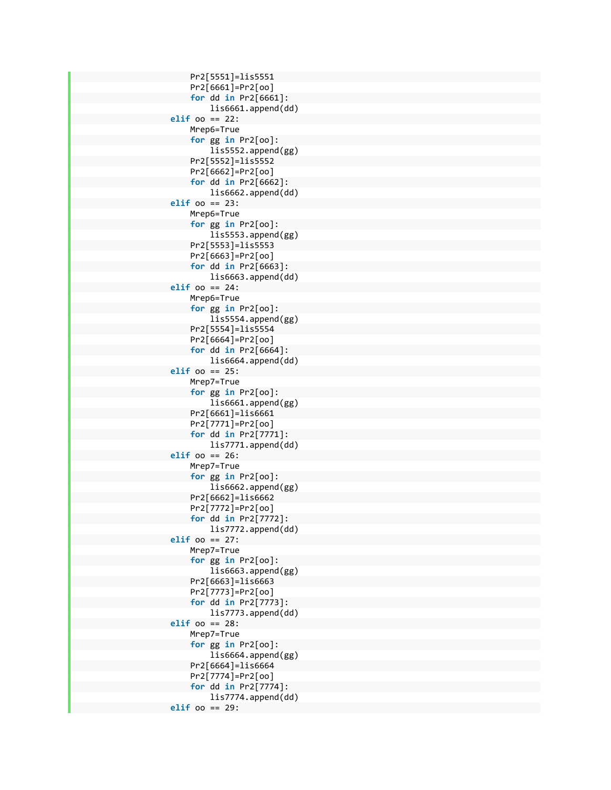Pr2[5551]=lis5551 Pr2[6661]=Pr2[oo] **for** dd **in** Pr2[6661]: lis6661.append(dd) **elif** oo == 22: Mrep6=True **for** gg **in** Pr2[oo]: lis5552.append(gg) Pr2[5552]=lis5552 Pr2[6662]=Pr2[oo] **for** dd **in** Pr2[6662]: lis6662.append(dd) **elif** oo == 23: Mrep6=True **for** gg **in** Pr2[oo]: lis5553.append(gg) Pr2[5553]=lis5553 Pr2[6663]=Pr2[oo] **for** dd **in** Pr2[6663]: lis6663.append(dd) **elif** oo == 24: Mrep6=True **for** gg **in** Pr2[oo]: lis5554.append(gg) Pr2[5554]=lis5554 Pr2[6664]=Pr2[oo] **for** dd **in** Pr2[6664]: lis6664.append(dd) **elif** oo == 25: Mrep7=True **for** gg **in** Pr2[oo]: lis6661.append(gg) Pr2[6661]=lis6661 Pr2[7771]=Pr2[oo] **for** dd **in** Pr2[7771]: lis7771.append(dd) **elif** oo == 26: Mrep7=True **for** gg **in** Pr2[oo]: lis6662.append(gg) Pr2[6662]=lis6662 Pr2[7772]=Pr2[oo] **for** dd **in** Pr2[7772]: lis7772.append(dd) **elif** oo == 27: Mrep7=True **for** gg **in** Pr2[oo]: lis6663.append(gg) Pr2[6663]=lis6663 Pr2[7773]=Pr2[oo] **for** dd **in** Pr2[7773]: lis7773.append(dd) **elif** oo == 28: Mrep7=True **for** gg **in** Pr2[oo]: lis6664.append(gg) Pr2[6664]=lis6664 Pr2[7774]=Pr2[oo] **for** dd **in** Pr2[7774]: lis7774.append(dd) **elif** oo == 29: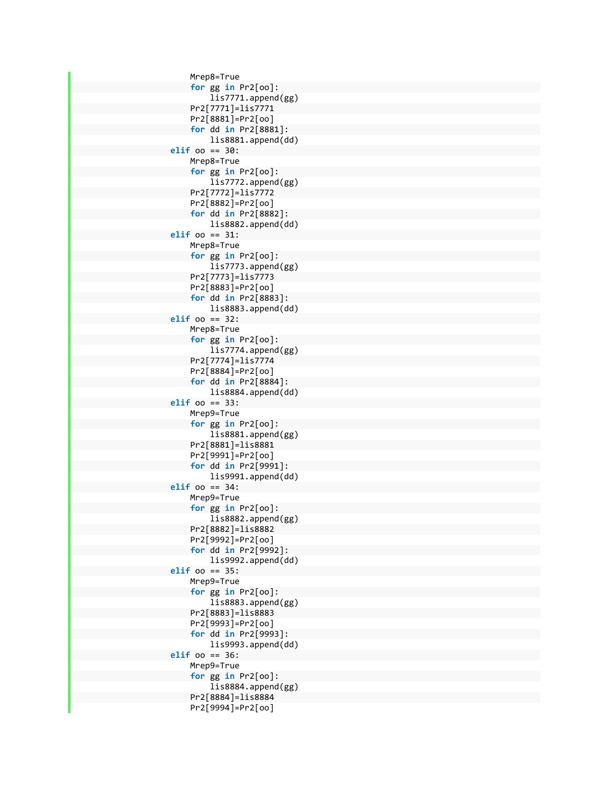Mrep8=True **for** gg **in** Pr2[oo]: lis7771.append(gg) Pr2[7771]=lis7771 Pr2[8881]=Pr2[oo] **for** dd **in** Pr2[8881]: lis8881.append(dd) **elif** oo == 30: Mrep8=True **for** gg **in** Pr2[oo]: lis7772.append(gg) Pr2[7772]=lis7772 Pr2[8882]=Pr2[oo] **for** dd **in** Pr2[8882]: lis8882.append(dd) **elif** oo == 31: Mrep8=True **for** gg **in** Pr2[oo]: lis7773.append(gg) Pr2[7773]=lis7773 Pr2[8883]=Pr2[oo] **for** dd **in** Pr2[8883]: lis8883.append(dd) **elif** oo == 32: Mrep8=True **for** gg **in** Pr2[oo]: lis7774.append(gg) Pr2[7774]=lis7774 Pr2[8884]=Pr2[oo] **for** dd **in** Pr2[8884]: lis8884.append(dd) **elif** oo == 33: Mrep9=True **for** gg **in** Pr2[oo]: lis8881.append(gg) Pr2[8881]=lis8881 Pr2[9991]=Pr2[oo] **for** dd **in** Pr2[9991]: lis9991.append(dd) **elif** oo == 34: Mrep9=True **for** gg **in** Pr2[oo]: lis8882.append(gg) Pr2[8882]=lis8882 Pr2[9992]=Pr2[oo] **for** dd **in** Pr2[9992]: lis9992.append(dd) **elif** oo == 35: Mrep9=True **for** gg **in** Pr2[oo]: lis8883.append(gg) Pr2[8883]=lis8883 Pr2[9993]=Pr2[oo] **for** dd **in** Pr2[9993]: lis9993.append(dd) **elif** oo == 36: Mrep9=True **for** gg **in** Pr2[oo]: lis8884.append(gg) Pr2[8884]=lis8884 Pr2[9994]=Pr2[oo]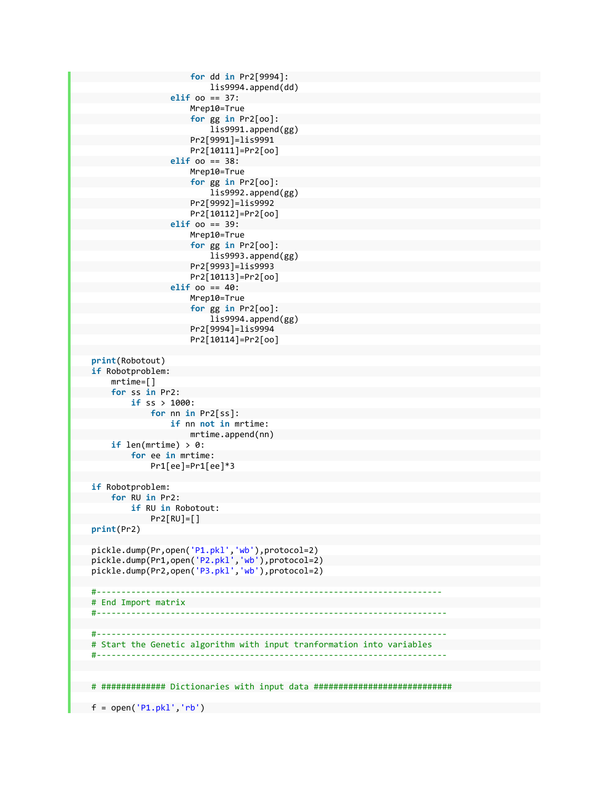```
                        for dd in Pr2[9994]:  
                                                                            lis9994.append(dd)  
                                                      elif oo == 37:  
                                                                 Mrep10=True  
                                         for gg in Pr2[oo]:  
                                                                            lis9991.append(gg)  
                                                                 Pr2[9991]=lis9991  
                                         Pr2[10111]=Pr2[oo]  
                                                      elif oo == 38:  
                                                                 Mrep10=True  
                                         for gg in Pr2[oo]:  
                                                                            lis9992.append(gg)  
                                                                 Pr2[9992]=lis9992  
                                         Pr2[10112]=Pr2[oo]  
                                                      elif oo == 39:  
                                                                 Mrep10=True  
                                         for gg in Pr2[oo]:  
                                                                            lis9993.append(gg)  
                                                                 Pr2[9993]=lis9993  
                                         Pr2[10113]=Pr2[oo]  
                                                      elif oo == 40:  
                                                                 Mrep10=True  
                                         for gg in Pr2[oo]:  
                                                                            lis9994.append(gg)  
                                                                 Pr2[9994]=lis9994  
                                         Pr2[10114]=Pr2[oo]  
          print(Robotout)  
          if Robotproblem:  
                     mrtime=[]  
                     for ss in Pr2:  
                                if ss > 1000:  
                                          for nn in Pr2[ss]:  
                                                      if nn not in mrtime:  
                                                                 mrtime.append(nn)  
                     if len(mrtime) > 0:  
                                for ee in mrtime:  
                                           Pr1[ee]=Pr1[ee]*3  
          if Robotproblem:  
                     for RU in Pr2:  
                                if RU in Robotout:  
                           Pr2[RU]=[]    print(Pr2)  
          pickle.dump(Pr,open('P1.pkl','wb'),protocol=2)  
          pickle.dump(Pr1,open('P2.pkl','wb'),protocol=2)  
          pickle.dump(Pr2,open('P3.pkl','wb'),protocol=2)  
          #‐‐‐‐‐‐‐‐‐‐‐‐‐‐‐‐‐‐‐‐‐‐‐‐‐‐‐‐‐‐‐‐‐‐‐‐‐‐‐‐‐‐‐‐‐‐‐‐‐‐‐‐‐‐‐‐‐‐‐‐‐‐‐‐‐‐‐‐‐‐  
          # End Import matrix  
    #‐‐‐‐‐‐‐‐‐‐‐‐‐‐‐‐‐‐‐‐‐‐‐‐‐‐‐‐‐‐‐‐‐‐‐‐‐‐‐‐‐‐‐‐‐‐‐‐‐‐‐‐‐‐‐‐‐‐‐‐‐‐‐‐‐‐‐‐‐‐‐
          #‐‐‐‐‐‐‐‐‐‐‐‐‐‐‐‐‐‐‐‐‐‐‐‐‐‐‐‐‐‐‐‐‐‐‐‐‐‐‐‐‐‐‐‐‐‐‐‐‐‐‐‐‐‐‐‐‐‐‐‐‐‐‐‐‐‐‐‐‐‐‐
          # Start the Genetic algorithm with input tranformation into variables  
          #‐‐‐‐‐‐‐‐‐‐‐‐‐‐‐‐‐‐‐‐‐‐‐‐‐‐‐‐‐‐‐‐‐‐‐‐‐‐‐‐‐‐‐‐‐‐‐‐‐‐‐‐‐‐‐‐‐‐‐‐‐‐‐‐‐‐‐‐‐‐‐
          # ############# Dictionaries with input data ############################  
      f = open('P1.pdf', 'rb')
```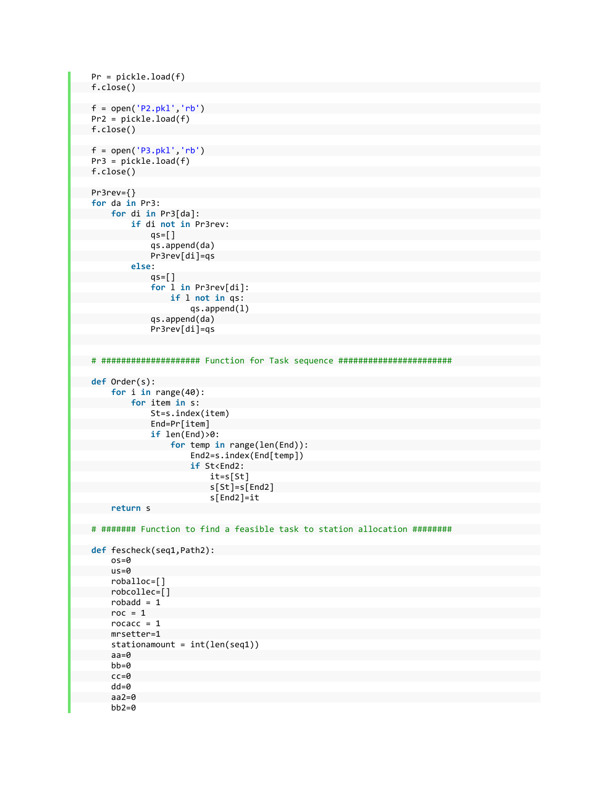```
    Pr = pickle.load(f)  
    f.close()  
    f = open('P2.pkl','rb')  
         Pr2 = pickle.load(f)  
    f.close()  
    f = open('P3.pkl','rb')  
         Pr3 = pickle.load(f)  
    f.close()  
    Pr3rev={}  
         for da in Pr3:  
                  for di in Pr3[da]:  
                              if di not in Pr3rev:  
                         qs=[]                qs.append(da)  
                                         Pr3rev[di]=qs  
                              else:  
                         qs=[]                for l in Pr3rev[di]:  
                                                   if l not in qs:  
                                                              qs.append(l)  
                                         qs.append(da)  
                                         Pr3rev[di]=qs  
    # #################### Function for Task sequence #######################
    def Order(s):  
                    for i in range(40):  
                              for item in s:  
                                         St=s.index(item)  
                                         End=Pr[item]  
                                         if len(End)>0:  
                                                    for temp in range(len(End)):  
                                                              End2=s.index(End[temp])  
                                      if St<End2:  
                                                                        it=s[St]  
                                            s[St]=s[End2]  
                                            s[End2]=it  
                    return s  
         # ####### Function to find a feasible task to station allocation ########
         def fescheck(seq1,Path2):  
                    os=0  
                    us=0  
                    roballoc=[]  
                    robcollec=[]  
            robadd = 1roc = 1rocacc = 1        mrsetter=1  
                    stationamount = int(len(seq1))  
                    aa=0  
                    bb=0  
                    cc=0  
                    dd=0  
                    aa2=0  
                    bb2=0
```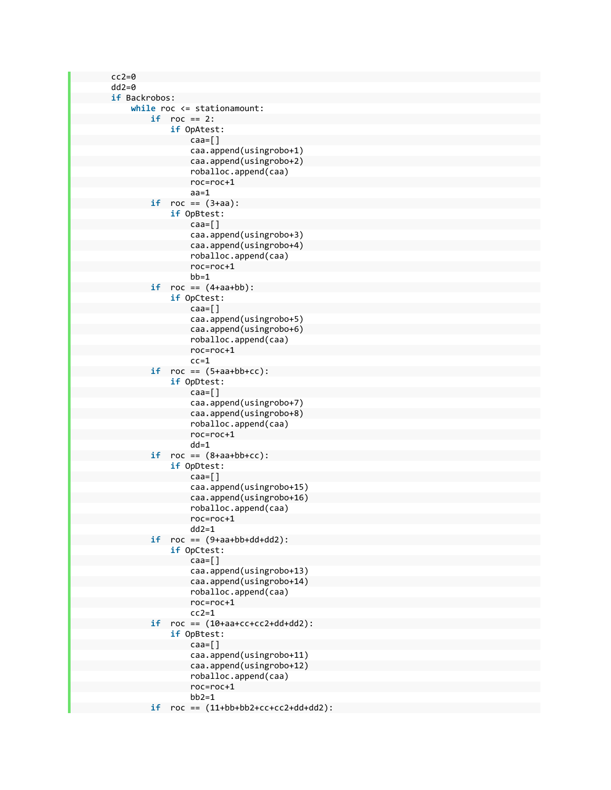$cc2=0$  dd2=0 **if** Backrobos: **while** roc <= stationamount: **if** roc == 2: **if** OpAtest: caa=[] caa.append(usingrobo+1) caa.append(usingrobo+2) roballoc.append(caa) roc=roc+1 aa=1  $if$   $roc == (3+aa):$  **if** OpBtest: caa=[] caa.append(usingrobo+3) caa.append(usingrobo+4) roballoc.append(caa) roc=roc+1 bb=1 **if** roc == (4+aa+bb): **if** OpCtest: caa=[] caa.append(usingrobo+5) caa.append(usingrobo+6) roballoc.append(caa) roc=roc+1  $cc=1$  $if$   $roc == (5+aa+bb+cc):$  **if** OpDtest: caa=[] caa.append(usingrobo+7) caa.append(usingrobo+8) roballoc.append(caa) roc=roc+1 dd=1  $if$   $roc == (8 + aa + bb + cc)$ : **if** OpDtest: caa=[] caa.append(usingrobo+15) caa.append(usingrobo+16) roballoc.append(caa) roc=roc+1  $dd2=1$  $if$   $roc == (9+aa+bb+dd+dd2):$  **if** OpCtest: caa=[] caa.append(usingrobo+13) caa.append(usingrobo+14) roballoc.append(caa) roc=roc+1  $cc2=1$  **if** roc == (10+aa+cc+cc2+dd+dd2): **if** OpBtest: caa=[] caa.append(usingrobo+11) caa.append(usingrobo+12) roballoc.append(caa) roc=roc+1  $bb2=1$ **if** roc == (11+bb+bb2+cc+cc2+dd+dd2):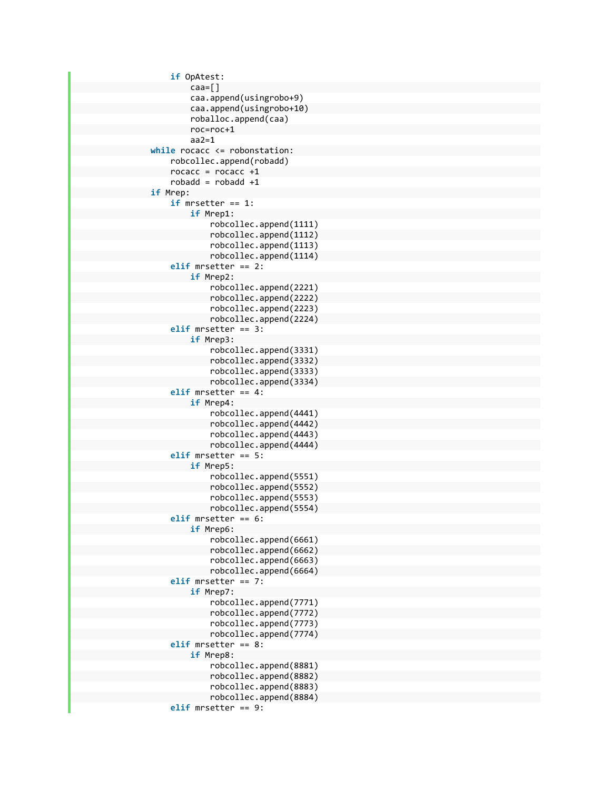```
                    if OpAtest:  
                                     caa=[]  
             caa.append(usingrobo+9)  
             caa.append(usingrobo+10)  
             roballoc.append(caa)  
             roc=roc+1  
             aa2=1  
                while rocacc <= robonstation:  
                          robcollec.append(robadd)  
      rocacc = rocacc +1
      robadd = robadd +1                if Mrep:  
                          if mrsetter == 1:  
                                     if Mrep1:  
                                                robcollec.append(1111)  
                    robcollec.append(1112)  
                    robcollec.append(1113)  
                    robcollec.append(1114)  
                          elif mrsetter == 2:  
                                     if Mrep2:  
                                                robcollec.append(2221)  
                    robcollec.append(2222)  
                    robcollec.append(2223)  
                    robcollec.append(2224)  
                          elif mrsetter == 3:  
                                     if Mrep3:  
                                                robcollec.append(3331)  
                    robcollec.append(3332)  
                    robcollec.append(3333)  
                    robcollec.append(3334)  
                           elif mrsetter == 4:  
                                     if Mrep4:  
                                                robcollec.append(4441)  
                    robcollec.append(4442)  
                    robcollec.append(4443)  
                    robcollec.append(4444)  
                          elif mrsetter == 5:  
                                     if Mrep5:  
                                                robcollec.append(5551)  
                    robcollec.append(5552)  
                    robcollec.append(5553)  
                    robcollec.append(5554)  
                          elif mrsetter == 6:  
                                     if Mrep6:  
                                                robcollec.append(6661)  
                    robcollec.append(6662)  
                    robcollec.append(6663)  
                    robcollec.append(6664)  
                          elif mrsetter == 7:  
                                     if Mrep7:  
                                                robcollec.append(7771)  
                    robcollec.append(7772)  
                    robcollec.append(7773)  
                    robcollec.append(7774)  
                           elif mrsetter == 8:  
                                     if Mrep8:  
                                                robcollec.append(8881)  
                    robcollec.append(8882)  
                    robcollec.append(8883)  
                    robcollec.append(8884)  
                           elif mrsetter == 9:
```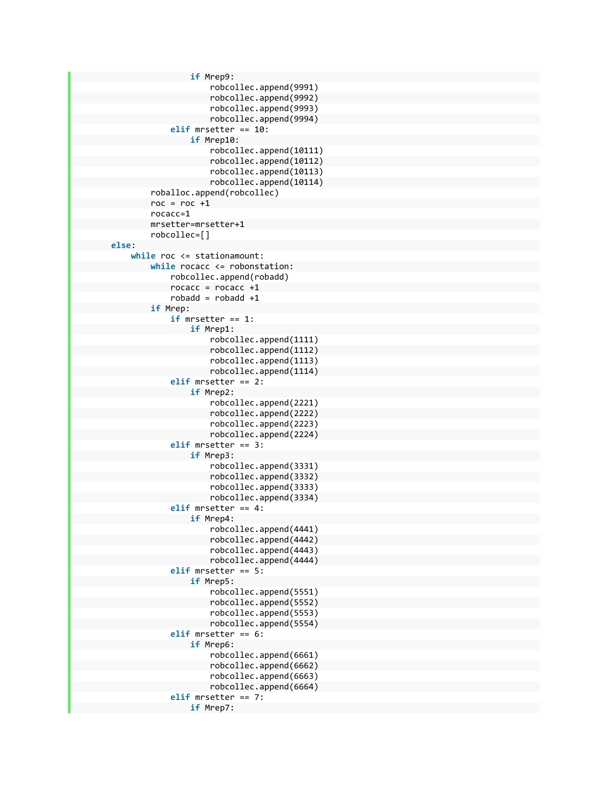```
                        if Mrep9:  
                                                               robcollec.append(9991)  
                                  robcollec.append(9992)  
                                   robcollec.append(9993)  
                                  robcollec.append(9994)  
                                         elif mrsetter == 10:  
                                                   if Mrep10:  
                                                               robcollec.append(10111)  
                                  robcollec.append(10112)  
                                   robcollec.append(10113)  
                                   robcollec.append(10114)  
                             roballoc.append(robcollec)  
             roc = roc +1                rocacc=1  
                             mrsetter=mrsetter+1  
                             robcollec=[]  
        else:  
                   while roc <= stationamount:  
                             while rocacc <= robonstation:  
                                         robcollec.append(robadd)  
                    rocacc = rocacc +1
                     robadd = robadd +1                if Mrep:  
                                         if mrsetter == 1:  
                                                   if Mrep1:  
                                                               robcollec.append(1111)  
                                   robcollec.append(1112)  
                                   robcollec.append(1113)  
                                   robcollec.append(1114)  
                                         elif mrsetter == 2:  
                                                   if Mrep2:  
                                                               robcollec.append(2221)  
                                   robcollec.append(2222)  
                                   robcollec.append(2223)  
                                   robcollec.append(2224)  
                                         elif mrsetter == 3:  
                                                   if Mrep3:  
                                                               robcollec.append(3331)  
                                   robcollec.append(3332)  
                                   robcollec.append(3333)  
                                   robcollec.append(3334)  
                                         elif mrsetter == 4:  
                                                   if Mrep4:  
                                                               robcollec.append(4441)  
                                   robcollec.append(4442)  
                                   robcollec.append(4443)  
                                  robcollec.append(4444)  
                                         elif mrsetter == 5:  
                                                   if Mrep5:  
                                                               robcollec.append(5551)  
                                   robcollec.append(5552)  
                                   robcollec.append(5553)  
                                   robcollec.append(5554)  
                                         elif mrsetter == 6:  
                                                   if Mrep6:  
                                                               robcollec.append(6661)  
                                   robcollec.append(6662)  
                                   robcollec.append(6663)  
                                  robcollec.append(6664)  
                                         elif mrsetter == 7:  
                                                   if Mrep7:
```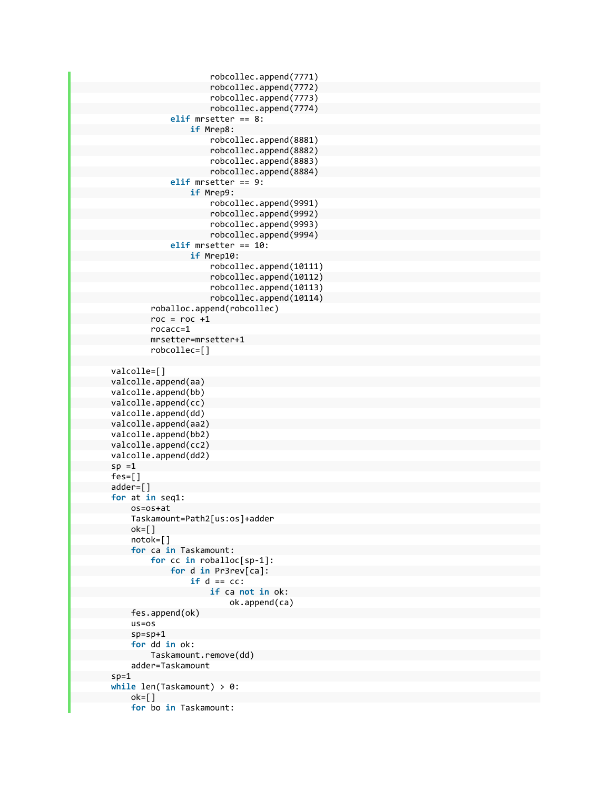```
                            robcollec.append(7771)  
                                   robcollec.append(7772)  
                                   robcollec.append(7773)  
                                   robcollec.append(7774)  
                                         elif mrsetter == 8:  
                                                    if Mrep8:  
                                                               robcollec.append(8881)  
                                   robcollec.append(8882)  
                                   robcollec.append(8883)  
                                   robcollec.append(8884)  
                                         elif mrsetter == 9:  
                                                    if Mrep9:  
                                                               robcollec.append(9991)  
                                   robcollec.append(9992)  
                                   robcollec.append(9993)  
                                   robcollec.append(9994)  
                                         elif mrsetter == 10:  
                                                    if Mrep10:  
                                                               robcollec.append(10111)  
                                   robcollec.append(10112)  
                                   robcollec.append(10113)  
                                   robcollec.append(10114)  
                              roballoc.append(robcollec)  
              roc = roc +1                rocacc=1  
                              mrsetter=mrsetter+1  
                              robcollec=[]  
        valcolle=[]  
        valcolle.append(aa)  
        valcolle.append(bb)  
        valcolle.append(cc)  
        valcolle.append(dd)  
        valcolle.append(aa2)  
        valcolle.append(bb2)  
        valcolle.append(cc2)  
        valcolle.append(dd2)  
sp = 1        fes=[]  
        adder=[]  
        for at in seq1:  
                  os=os+at  
                   Taskamount=Path2[us:os]+adder  
      ok = []            notok=[]  
                   for ca in Taskamount:  
                              for cc in roballoc[sp‐1]:  
                                        for d in Pr3rev[ca]:  
                                                    if d == cc:  
                                                               if ca not in ok:  
                                                                          ok.append(ca)  
                   fes.append(ok)  
                   us=os  
                   sp=sp+1  
                   for dd in ok:  
                              Taskamount.remove(dd)  
                   adder=Taskamount  
sp=1        while len(Taskamount) > 0:  
      ok=[]            for bo in Taskamount:
```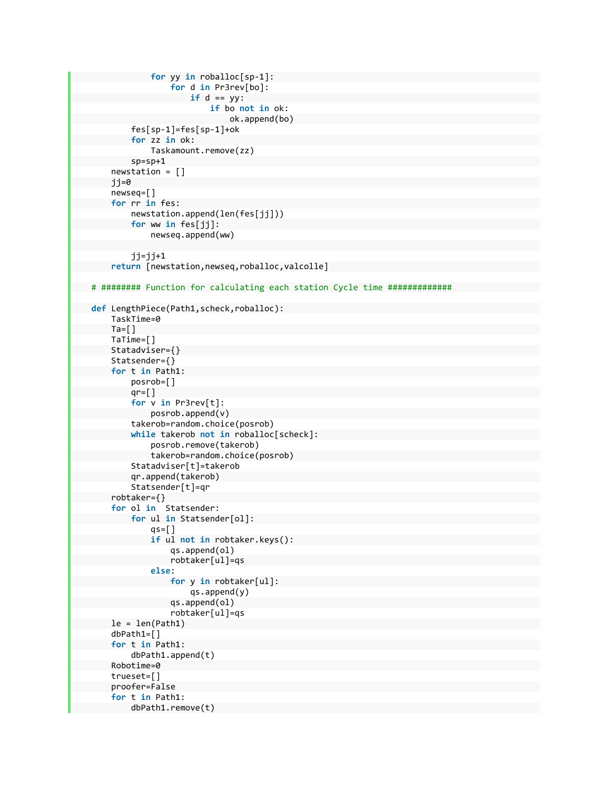```
                for yy in roballoc[sp‐1]:  
                                               for d in Pr3rev[bo]:  
                                  if d == yy:                            if bo not in ok:  
                                                                               ok.append(bo)  
                         fes[sp‐1]=fes[sp‐1]+ok  
                         for zz in ok:  
                                    Taskamount.remove(zz)  
                         sp=sp+1  
              newstation = []  
              jj=0  
              newseq=[]  
              for rr in fes:  
                         newstation.append(len(fes[jj]))  
                         for ww in fes[jj]:  
                                    newseq.append(ww)  
             jj=jj+1        return [newstation,newseq,roballoc,valcolle]  
    # ######## Function for calculating each station Cycle time #############
    def LengthPiece(Path1,scheck,roballoc):  
              TaskTime=0  
      Ta = [ ]        TaTime=[]  
              Statadviser={}  
              Statsender={}  
              for t in Path1:  
                         posrob=[]  
             qr = \lceil \rceil            for v in Pr3rev[t]:  
                                    posrob.append(v)  
                         takerob=random.choice(posrob)  
                         while takerob not in roballoc[scheck]:  
                                    posrob.remove(takerob)  
                                    takerob=random.choice(posrob)  
                         Statadviser[t]=takerob  
                         qr.append(takerob)  
                         Statsender[t]=qr  
              robtaker={}  
              for ol in  Statsender:  
                         for ul in Statsender[ol]:  
                    qs=[ ]                if ul not in robtaker.keys():  
                                               qs.append(ol)  
                           robtaker[ul]=qs  
                                    else:  
                                               for y in robtaker[ul]:  
                                                          qs.append(y)  
                                               qs.append(ol)  
                           robtaker[ul]=qs  
      le = len(Path1)        dbPath1=[]  
              for t in Path1:  
                         dbPath1.append(t)  
              Robotime=0  
              trueset=[]  
              proofer=False  
              for t in Path1:  
                         dbPath1.remove(t)
```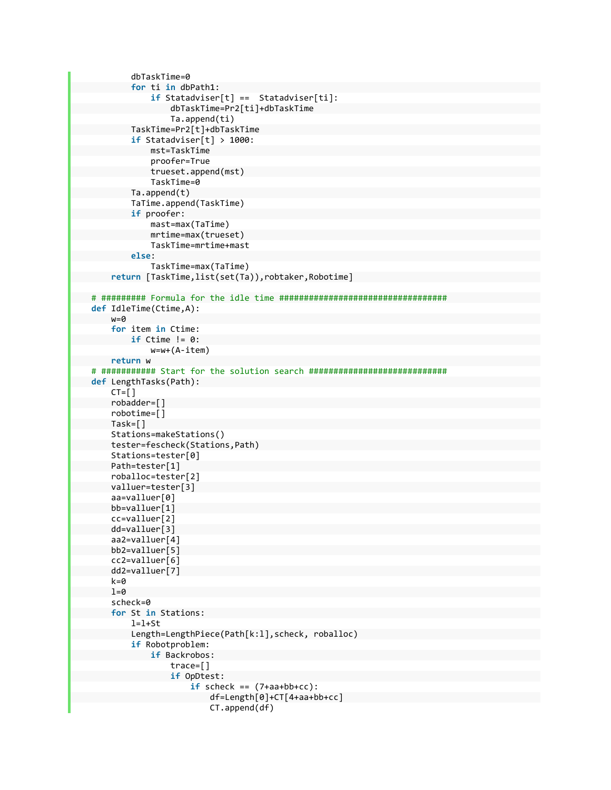```
            dbTaskTime=0  
                         for ti in dbPath1:  
                                    if Statadviser[t] ==  Statadviser[ti]:  
                                              dbTaskTime=Pr2[ti]+dbTaskTime  
                          Ta.append(ti)  
                         TaskTime=Pr2[t]+dbTaskTime  
                         if Statadviser[t] > 1000:  
                                    mst=TaskTime  
                                    proofer=True  
                                    trueset.append(mst)  
                                    TaskTime=0  
                         Ta.append(t)  
                         TaTime.append(TaskTime)  
                         if proofer:  
                                    mast=max(TaTime)  
                                    mrtime=max(trueset)  
                                    TaskTime=mrtime+mast  
                         else:  
                                    TaskTime=max(TaTime)  
               return [TaskTime,list(set(Ta)),robtaker,Robotime]  
    # ######### Formula for the idle time ##################################
    def IdleTime(Ctime,A):  
               w=0  
               for item in Ctime:  
                         if Ctime != 0:  
                                    w=w+(A‐item)  
               return w  
    # ########### Start for the solution search ############################
    def LengthTasks(Path):  
       CT = [ ]        robadder=[]  
               robotime=[]  
               Task=[]  
               Stations=makeStations()  
               tester=fescheck(Stations,Path)  
               Stations=tester[0]  
               Path=tester[1]  
               roballoc=tester[2]  
               valluer=tester[3]  
               aa=valluer[0]  
               bb=valluer[1]  
               cc=valluer[2]  
               dd=valluer[3]  
               aa2=valluer[4]  
               bb2=valluer[5]  
               cc2=valluer[6]  
               dd2=valluer[7]  
       k=01=0        scheck=0  
               for St in Stations:  
             l=1+St            Length=LengthPiece(Path[k:l],scheck, roballoc)  
                         if Robotproblem:  
                                    if Backrobos:  
                                              trace=[]  
                          if OpDtest:  
                                 if scheck == (7+aa+bb+cc):
                                                                   df=Length[0]+CT[4+aa+bb+cc]  
                                       CT.append(df)
```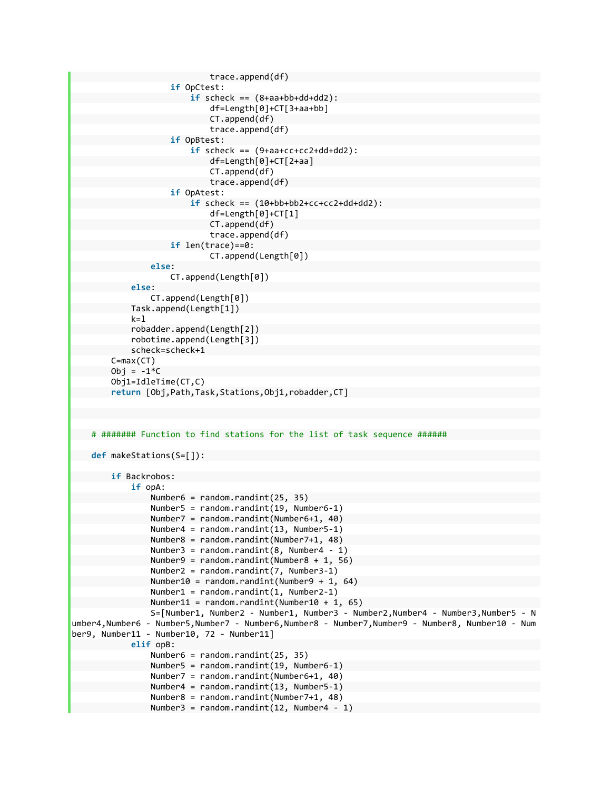```
                            trace.append(df)  
                                                  if OpCtest:  
                                    if scheck == (8+a^2+b^2+d^2+d^2):
                                                                      df=Length[0]+CT[3+aa+bb]  
                                          CT.append(df)  
                                          trace.append(df)  
                                                  if OpBtest:  
                                                            if scheck == (9+aa+cc+cc2+dd+dd2):  
                                                                      df=Length[0]+CT[2+aa]  
                                          CT.append(df)  
                                          trace.append(df)  
                                                  if OpAtest:  
                                                            if scheck == (10+bb+bb2+cc+cc2+dd+dd2):  
                                                                      df=Length[0]+CT[1]  
                                          CT.append(df)  
                                          trace.append(df)  
                                                  if len(trace)==0:  
                                                                      CT.append(Length[0])  
                                        else:  
                                                  CT.append(Length[0])  
                              else:  
                                        CT.append(Length[0])  
                              Task.append(Length[1])  
                  k=1            robadder.append(Length[2])  
                              robotime.append(Length[3])  
                              scheck=scheck+1  
                    C=max(CT)  
           Obj = -1*C        Obj1=IdleTime(CT,C)  
                    return [Obj,Path,Task,Stations,Obj1,robadder,CT]  
          # ####### Function to find stations for the list of task sequence ######
          def makeStations(S=[]):  
                   if Backrobos:  
                              if opA:  
                                        Number6 = random.randint(25, 35)  
                                        Number5 = random.randint(19, Number6‐1)  
                                        Number7 = random.randint(Number6+1, 40)  
                                        Number4 = random.randint(13, Number5‐1)  
                                        Number8 = random.randint(Number7+1, 48)  
                        Number3 = random.randint(8, Number4 - 1)
                                        Number9 = random.randint(Number8 + 1, 56)  
                                        Number2 = random.randint(7, Number3‐1)  
                                        Number10 = random.randint(Number9 + 1, 64)  
                                        Number1 = random.randint(1, Number2‐1)  
                                        Number11 = random.randint(Number10 + 1, 65)  
                                        S=[Number1, Number2 ‐ Number1, Number3 ‐ Number2,Number4 ‐ Number3,Number5 ‐ N
umber4,Number6 ‐ Number5,Number7 ‐ Number6,Number8 ‐ Number7,Number9 ‐ Number8, Number10 ‐ Num
ber9, Number11 ‐ Number10, 72 ‐ Number11]  
                              elif opB:  
                                        Number6 = random.randint(25, 35)  
                                        Number5 = random.randint(19, Number6‐1)  
                                        Number7 = random.randint(Number6+1, 40)  
                                        Number4 = random.randint(13, Number5‐1)  
                                        Number8 = random.randint(Number7+1, 48)  
                                        Number3 = random.randint(12, Number4 ‐ 1)
```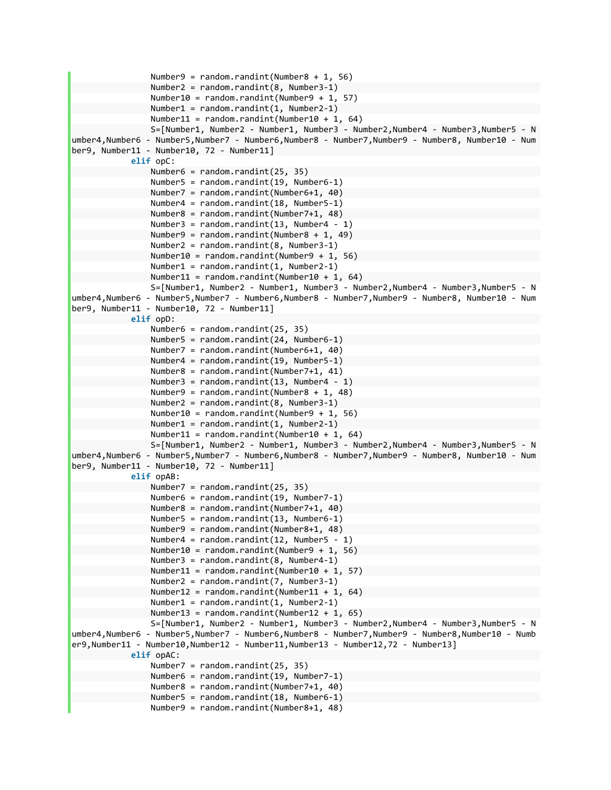```
                Number9 = random.randint(Number8 + 1, 56)  
                                     Number2 = random.randint(8, Number3‐1)  
                                     Number10 = random.randint(Number9 + 1, 57)  
                                     Number1 = random.randint(1, Number2‐1)  
                                     Number11 = random.randint(Number10 + 1, 64)  
                                     S=[Number1, Number2 ‐ Number1, Number3 ‐ Number2,Number4 ‐ Number3,Number5 ‐ N
umber4,Number6 ‐ Number5,Number7 ‐ Number6,Number8 ‐ Number7,Number9 ‐ Number8, Number10 ‐ Num
ber9, Number11 ‐ Number10, 72 ‐ Number11]  
                           elif opC:  
                                    Number6 = random.randint(25, 35)  
                                     Number5 = random.randint(19, Number6‐1)  
                                    Number7 = random.randint(Number6+1, 40)  
                                     Number4 = random.randint(18, Number5‐1)  
                                     Number8 = random.randint(Number7+1, 48)  
                                     Number3 = random.randint(13, Number4 ‐ 1)  
                                     Number9 = random.randint(Number8 + 1, 49)  
                                     Number2 = random.randint(8, Number3‐1)  
                                     Number10 = random.randint(Number9 + 1, 56)  
                                     Number1 = random.randint(1, Number2‐1)  
                    Number11 = random.randint(Number10 + 1, 64)
                                    S=[Number1, Number2 ‐ Number1, Number3 ‐ Number2,Number4 ‐ Number3,Number5 ‐ N
umber4,Number6 ‐ Number5,Number7 ‐ Number6,Number8 ‐ Number7,Number9 ‐ Number8, Number10 ‐ Num
ber9, Number11 ‐ Number10, 72 ‐ Number11]  
                           elif opD:  
                                    Number6 = random.randint(25, 35)  
                                     Number5 = random.randint(24, Number6‐1)  
                                     Number7 = random.randint(Number6+1, 40)  
                                     Number4 = random.randint(19, Number5‐1)  
                                     Number8 = random.randint(Number7+1, 41)  
                                     Number3 = random.randint(13, Number4 ‐ 1)  
                                     Number9 = random.randint(Number8 + 1, 48)  
                                     Number2 = random.randint(8, Number3‐1)  
                                     Number10 = random.randint(Number9 + 1, 56)  
                                    Number1 = random.randint(1, Number2‐1)  
                     Number11 = random.randint(Number10 + 1, 64)
                                     S=[Number1, Number2 ‐ Number1, Number3 ‐ Number2,Number4 ‐ Number3,Number5 ‐ N
umber4,Number6 ‐ Number5,Number7 ‐ Number6,Number8 ‐ Number7,Number9 ‐ Number8, Number10 ‐ Num
ber9, Number11 - Number10, 72 - Number11]
                           elif opAB:  
                                    Number7 = random.randint(25, 35)  
                                     Number6 = random.randint(19, Number7‐1)  
                                     Number8 = random.randint(Number7+1, 40)  
                                     Number5 = random.randint(13, Number6‐1)  
                                     Number9 = random.randint(Number8+1, 48)  
                                     Number4 = random.randint(12, Number5 ‐ 1)  
                                     Number10 = random.randint(Number9 + 1, 56)  
                                     Number3 = random.randint(8, Number4‐1)  
                     Number11 = random.randint(Number10 + 1, 57)
                                     Number2 = random.randint(7, Number3‐1)  
                     Number12 = random.randint(Number11 + 1, 64)
                                     Number1 = random.randint(1, Number2‐1)  
                                     Number13 = random.randint(Number12 + 1, 65)  
                                    S=[Number1, Number2 ‐ Number1, Number3 ‐ Number2,Number4 ‐ Number3,Number5 ‐ N
umber4,Number6 ‐ Number5,Number7 ‐ Number6,Number8 ‐ Number7,Number9 ‐ Number8,Number10 ‐ Numb
er9,Number11 ‐ Number10,Number12 ‐ Number11,Number13 ‐ Number12,72 ‐ Number13]  
                           elif opAC:  
                                     Number7 = random.randint(25, 35)  
                                     Number6 = random.randint(19, Number7‐1)  
                                     Number8 = random.randint(Number7+1, 40)  
                                    Number5 = random.randint(18, Number6‐1)  
                                     Number9 = random.randint(Number8+1, 48)
```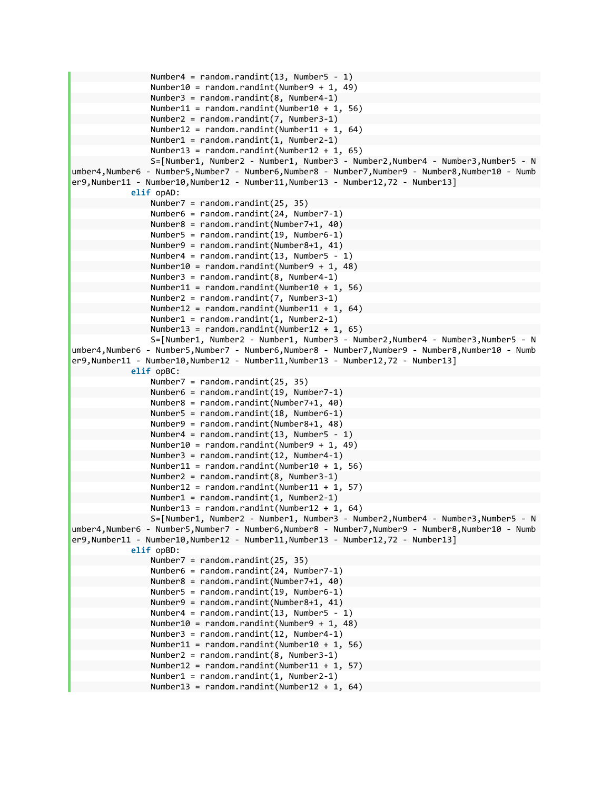```
Number4 = random.randint(13, Number5 - 1)
                                    Number10 = random.randint(Number9 + 1, 49)  
                                    Number3 = random.randint(8, Number4‐1)  
                                    Number11 = random.randint(Number10 + 1, 56)  
                                    Number2 = random.randint(7, Number3‐1)  
                                    Number12 = random.randint(Number11 + 1, 64)  
                                    Number1 = random.randint(1, Number2‐1)  
                    Number13 = random.randint(Number12 + 1, 65)
                                    S=[Number1, Number2 ‐ Number1, Number3 ‐ Number2,Number4 ‐ Number3,Number5 ‐ N
umber4,Number6 ‐ Number5,Number7 ‐ Number6,Number8 ‐ Number7,Number9 ‐ Number8,Number10 ‐ Numb
er9,Number11 ‐ Number10,Number12 ‐ Number11,Number13 ‐ Number12,72 ‐ Number13]  
                           elif opAD:  
                                    Number7 = random.randint(25, 35)  
                                    Number6 = random.randint(24, Number7‐1)  
                                    Number8 = random.randint(Number7+1, 40)  
                                    Number5 = random.randint(19, Number6‐1)  
                                    Number9 = random.randint(Number8+1, 41)  
                                    Number4 = random.randint(13, Number5 ‐ 1)  
                                    Number10 = random.randint(Number9 + 1, 48)  
                                    Number3 = random.randint(8, Number4‐1)  
                                    Number11 = random.randint(Number10 + 1, 56)  
                                    Number2 = random.randint(7, Number3‐1)  
                    Number12 = random.randint(Number11 + 1, 64)
                                    Number1 = random.randint(1, Number2‐1)  
                                    Number13 = random.randint(Number12 + 1, 65)  
                                    S=[Number1, Number2 ‐ Number1, Number3 ‐ Number2,Number4 ‐ Number3,Number5 ‐ N
umber4,Number6 ‐ Number5,Number7 ‐ Number6,Number8 ‐ Number7,Number9 ‐ Number8,Number10 ‐ Numb
er9,Number11 ‐ Number10,Number12 ‐ Number11,Number13 ‐ Number12,72 ‐ Number13]  
                           elif opBC:  
                                    Number7 = random.randint(25, 35)  
                                    Number6 = random.randint(19, Number7‐1)  
                                    Number8 = random.randint(Number7+1, 40)  
                                    Number5 = random.randint(18, Number6‐1)  
                                    Number9 = random.randint(Number8+1, 48)  
                    Number4 = random.randint(13, Number5 - 1)
                    Number10 = random.randint(Number9 + 1, 49)
                                    Number3 = random.randint(12, Number4‐1)  
                                    Number11 = random.randint(Number10 + 1, 56)  
                                    Number2 = random.randint(8, Number3‐1)  
                                    Number12 = random.randint(Number11 + 1, 57)  
                                    Number1 = random.randint(1, Number2‐1)  
                                    Number13 = random.randint(Number12 + 1, 64)  
                                    S=[Number1, Number2 ‐ Number1, Number3 ‐ Number2,Number4 ‐ Number3,Number5 ‐ N
umber4,Number6 ‐ Number5,Number7 ‐ Number6,Number8 ‐ Number7,Number9 ‐ Number8,Number10 ‐ Numb
er9,Number11 ‐ Number10,Number12 ‐ Number11,Number13 ‐ Number12,72 ‐ Number13]  
                           elif opBD:  
                                    Number7 = random.randint(25, 35)  
                                    Number6 = random.randint(24, Number7‐1)  
                                    Number8 = random.randint(Number7+1, 40)  
                                    Number5 = random.randint(19, Number6‐1)  
                                    Number9 = random.randint(Number8+1, 41)  
                                    Number4 = random.randint(13, Number5 ‐ 1)  
                                    Number10 = random.randint(Number9 + 1, 48)  
                                    Number3 = random.randint(12, Number4‐1)  
                    Number11 = random.randint(Number10 + 1, 56)
                                    Number2 = random.randint(8, Number3‐1)  
                    Number12 = random.randint(Number11 + 1, 57)
                                    Number1 = random.randint(1, Number2‐1)  
                    Number13 = random.randint(Number12 + 1, 64)
```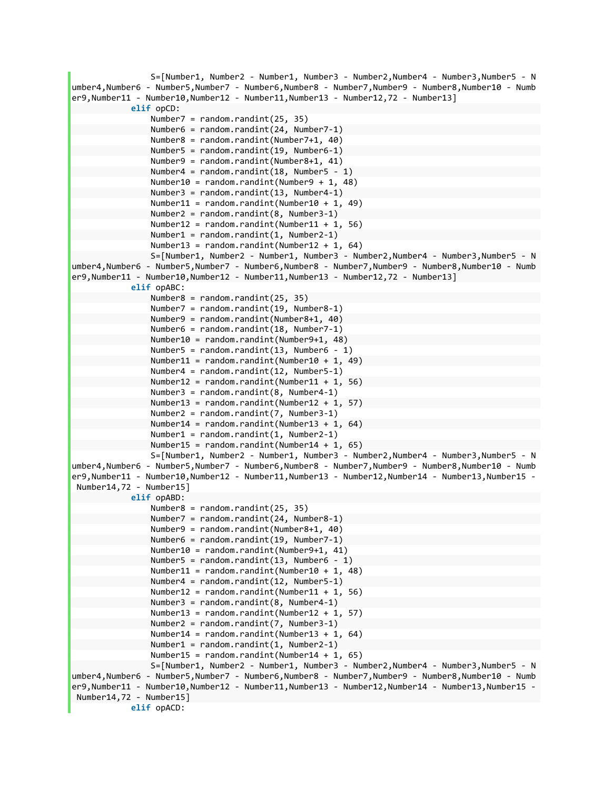```
                S=[Number1, Number2 ‐ Number1, Number3 ‐ Number2,Number4 ‐ Number3,Number5 ‐ N
umber4,Number6 ‐ Number5,Number7 ‐ Number6,Number8 ‐ Number7,Number9 ‐ Number8,Number10 ‐ Numb
er9,Number11 ‐ Number10,Number12 ‐ Number11,Number13 ‐ Number12,72 ‐ Number13]  
                          elif opCD:  
                                    Number7 = random.randint(25, 35)  
                                    Number6 = random.randint(24, Number7‐1)  
                                    Number8 = random.randint(Number7+1, 40)  
                                    Number5 = random.randint(19, Number6‐1)  
                                    Number9 = random.randint(Number8+1, 41)  
                                    Number4 = random.randint(18, Number5 ‐ 1)  
                                    Number10 = random.randint(Number9 + 1, 48)  
                                    Number3 = random.randint(13, Number4‐1)  
                    Number11 = random.randint(Number10 + 1, 49)
                                    Number2 = random.randint(8, Number3‐1)  
                    Number12 = random.random(Number11 + 1, 56)                Number1 = random.randint(1, Number2‐1)  
                                    Number13 = random.randint(Number12 + 1, 64)  
                                    S=[Number1, Number2 ‐ Number1, Number3 ‐ Number2,Number4 ‐ Number3,Number5 ‐ N
umber4,Number6 ‐ Number5,Number7 ‐ Number6,Number8 ‐ Number7,Number9 ‐ Number8,Number10 ‐ Numb
er9,Number11 ‐ Number10,Number12 ‐ Number11,Number13 ‐ Number12,72 ‐ Number13]  
                           elif opABC:  
                                    Number8 = random.randint(25, 35)  
                                    Number7 = random.randint(19, Number8‐1)  
                                    Number9 = random.randint(Number8+1, 40)  
                                    Number6 = random.randint(18, Number7‐1)  
                                    Number10 = random.randint(Number9+1, 48)  
                    Number5 = random.randint(13, Number6 - 1)
                    Number11 = random.randint(Number10 + 1, 49)
                                    Number4 = random.randint(12, Number5‐1)  
                    Number12 = random.randint(Number11 + 1, 56)
                                    Number3 = random.randint(8, Number4‐1)  
                                    Number13 = random.randint(Number12 + 1, 57)  
                                    Number2 = random.randint(7, Number3‐1)  
                    Number14 = random.randint(Number13 + 1, 64)
                                    Number1 = random.randint(1, Number2‐1)  
                                    Number15 = random.randint(Number14 + 1, 65)  
                                    S=[Number1, Number2 ‐ Number1, Number3 ‐ Number2,Number4 ‐ Number3,Number5 ‐ N
umber4,Number6 ‐ Number5,Number7 ‐ Number6,Number8 ‐ Number7,Number9 ‐ Number8,Number10 ‐ Numb
er9,Number11 ‐ Number10,Number12 ‐ Number11,Number13 ‐ Number12,Number14 ‐ Number13,Number15 ‐
Number14,72 ‐ Number15]  
                          elif opABD:  
                                    Number8 = random.randint(25, 35)  
                                    Number7 = random.randint(24, Number8‐1)  
                                    Number9 = random.randint(Number8+1, 40)  
                                    Number6 = random.randint(19, Number7‐1)  
                                    Number10 = random.randint(Number9+1, 41)  
                                    Number5 = random.randint(13, Number6 ‐ 1)  
                                    Number11 = random.randint(Number10 + 1, 48)  
                                    Number4 = random.randint(12, Number5‐1)  
                                    Number12 = random.randint(Number11 + 1, 56)  
                                    Number3 = random.randint(8, Number4‐1)  
                                    Number13 = random.randint(Number12 + 1, 57)  
                                    Number2 = random.randint(7, Number3‐1)  
                    Number14 = random.randint(Number13 + 1, 64)
                                    Number1 = random.randint(1, Number2‐1)  
                    Number15 = random.randint(Number14 + 1, 65)
                                    S=[Number1, Number2 ‐ Number1, Number3 ‐ Number2,Number4 ‐ Number3,Number5 ‐ N
umber4,Number6 ‐ Number5,Number7 ‐ Number6,Number8 ‐ Number7,Number9 ‐ Number8,Number10 ‐ Numb
er9,Number11 ‐ Number10,Number12 ‐ Number11,Number13 ‐ Number12,Number14 ‐ Number13,Number15 ‐
Number14,72 ‐ Number15]  
                           elif opACD:
```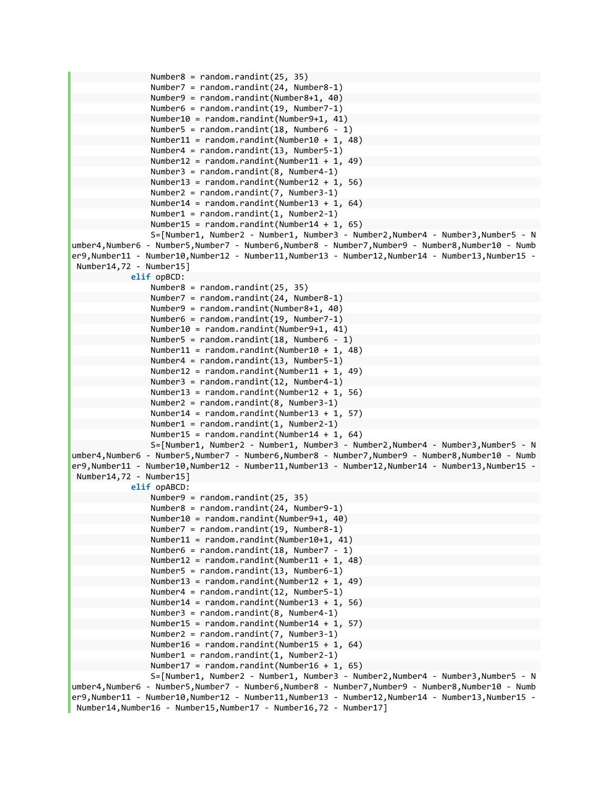```
                Number8 = random.randint(25, 35)  
                                    Number7 = random.randint(24, Number8‐1)  
                                    Number9 = random.randint(Number8+1, 40)  
                                    Number6 = random.randint(19, Number7‐1)  
                                    Number10 = random.randint(Number9+1, 41)  
                                    Number5 = random.randint(18, Number6 ‐ 1)  
                    Number11 = random.randint(Number10 + 1, 48)
                                    Number4 = random.randint(13, Number5‐1)  
                    Number12 = random.randint(Number11 + 1, 49)
                                    Number3 = random.randint(8, Number4‐1)  
                                    Number13 = random.randint(Number12 + 1, 56)  
                                    Number2 = random.randint(7, Number3‐1)  
                                    Number14 = random.randint(Number13 + 1, 64)  
                                    Number1 = random.randint(1, Number2‐1)  
                                    Number15 = random.randint(Number14 + 1, 65)  
                                    S=[Number1, Number2 ‐ Number1, Number3 ‐ Number2,Number4 ‐ Number3,Number5 ‐ N
umber4,Number6 ‐ Number5,Number7 ‐ Number6,Number8 ‐ Number7,Number9 ‐ Number8,Number10 ‐ Numb
er9,Number11 ‐ Number10,Number12 ‐ Number11,Number13 ‐ Number12,Number14 ‐ Number13,Number15 ‐
Number14,72 ‐ Number15]  
                           elif opBCD:  
                                    Number8 = random.randint(25, 35)  
                                    Number7 = random.randint(24, Number8‐1)  
                                    Number9 = random.randint(Number8+1, 40)  
                                    Number6 = random.randint(19, Number7‐1)  
                                    Number10 = random.randint(Number9+1, 41)  
                                    Number5 = random.randint(18, Number6 ‐ 1)  
                    Number11 = random.randint(Number10 + 1, 48)
                                    Number4 = random.randint(13, Number5‐1)  
                    Number12 = random.randint(Number11 + 1, 49)
                                    Number3 = random.randint(12, Number4‐1)  
                                    Number13 = random.randint(Number12 + 1, 56)  
                                    Number2 = random.randint(8, Number3‐1)  
                    Number14 = random.randint(Number13 + 1, 57)
                    Number1 = random.randint(1, Number2-1)
                    Number15 = random.randint(Number14 + 1, 64)
                                    S=[Number1, Number2 ‐ Number1, Number3 ‐ Number2,Number4 ‐ Number3,Number5 ‐ N
umber4,Number6 ‐ Number5,Number7 ‐ Number6,Number8 ‐ Number7,Number9 ‐ Number8,Number10 ‐ Numb
er9,Number11 ‐ Number10,Number12 ‐ Number11,Number13 ‐ Number12,Number14 ‐ Number13,Number15 ‐
Number14,72 ‐ Number15]  
                           elif opABCD:  
                                    Number9 = random.randint(25, 35)  
                                    Number8 = random.randint(24, Number9‐1)  
                                    Number10 = random.randint(Number9+1, 40)  
                                    Number7 = random.randint(19, Number8‐1)  
                                    Number11 = random.randint(Number10+1, 41)  
                                    Number6 = random.randint(18, Number7 ‐ 1)  
                    Number12 = random.random(Number11 + 1, 48)                Number5 = random.randint(13, Number6‐1)  
                                    Number13 = random.randint(Number12 + 1, 49)  
                                    Number4 = random.randint(12, Number5‐1)  
                                    Number14 = random.randint(Number13 + 1, 56)  
                                    Number3 = random.randint(8, Number4‐1)  
                                    Number15 = random.randint(Number14 + 1, 57)  
                                    Number2 = random.randint(7, Number3‐1)  
                    Number16 = random.randint(Number15 + 1, 64)
                                    Number1 = random.randint(1, Number2‐1)  
                                    Number17 = random.randint(Number16 + 1, 65)  
                                    S=[Number1, Number2 ‐ Number1, Number3 ‐ Number2,Number4 ‐ Number3,Number5 ‐ N
umber4,Number6 ‐ Number5,Number7 ‐ Number6,Number8 ‐ Number7,Number9 ‐ Number8,Number10 ‐ Numb
er9,Number11 ‐ Number10,Number12 ‐ Number11,Number13 ‐ Number12,Number14 ‐ Number13,Number15 ‐
Number14,Number16 ‐ Number15,Number17 ‐ Number16,72 ‐ Number17]
```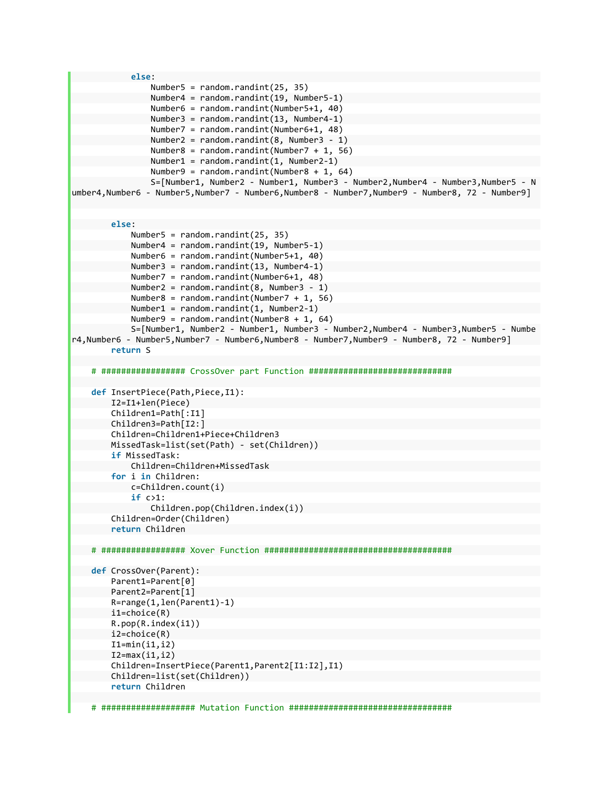```
            else:  
                                     Number5 = random.randint(25, 35)  
                                     Number4 = random.randint(19, Number5‐1)  
                                     Number6 = random.randint(Number5+1, 40)  
                                     Number3 = random.randint(13, Number4‐1)  
                                     Number7 = random.randint(Number6+1, 48)  
                     Number2 = random.randint(8, Number3 - 1)
                     Number8 = random.randint(Number7 + 1, 56)
                                     Number1 = random.randint(1, Number2‐1)  
                     Number9 = random.randint(Number8 + 1, 64)
                                     S=[Number1, Number2 ‐ Number1, Number3 ‐ Number2,Number4 ‐ Number3,Number5 ‐ N
umber4,Number6 ‐ Number5,Number7 ‐ Number6,Number8 ‐ Number7,Number9 ‐ Number8, 72 ‐ Number9]
                  else:  
                           Number5 = random.randint(25, 35)  
                           Number4 = random.randint(19, Number5‐1)  
                           Number6 = random.randint(Number5+1, 40)  
                           Number3 = random.randint(13, Number4‐1)  
                           Number7 = random.randint(Number6+1, 48)  
                           Number2 = random.randint(8, Number3 ‐ 1)  
                           Number8 = random.randint(Number7 + 1, 56)  
                           Number1 = random.randint(1, Number2‐1)  
                           Number9 = random.randint(Number8 + 1, 64)  
                           S=[Number1, Number2 ‐ Number1, Number3 ‐ Number2,Number4 ‐ Number3,Number5 ‐ Numbe
r4,Number6 ‐ Number5,Number7 ‐ Number6,Number8 ‐ Number7,Number9 ‐ Number8, 72 ‐ Number9]  
                  return S  
         # ################# CrossOver part Function #############################
         def InsertPiece(Path,Piece,I1):  
                I2=I1+len(Piece)  
                  Children1=Path[:I1]  
                  Children3=Path[I2:]  
                  Children=Children1+Piece+Children3  
                  MissedTask=list(set(Path) ‐ set(Children))  
                  if MissedTask:  
                           Children=Children+MissedTask  
                  for i in Children:  
                           c=Children.count(i)  
                           if c>1:  
                                     Children.pop(Children.index(i))  
                  Children=Order(Children)  
                  return Children  
         # ################# Xover Function ######################################
         def CrossOver(Parent):  
                  Parent1=Parent[0]  
                  Parent2=Parent[1]  
                  R=range(1,len(Parent1)‐1)  
                  i1=choice(R)  
                  R.pop(R.index(i1))  
                  i2=choice(R)  
                  I1=min(i1,i2)  
                  I2=max(i1,i2)  
                  Children=InsertPiece(Parent1,Parent2[I1:I2],I1)  
                  Children=list(set(Children))  
                  return Children
```

```
    # ################### Mutation Function #################################
```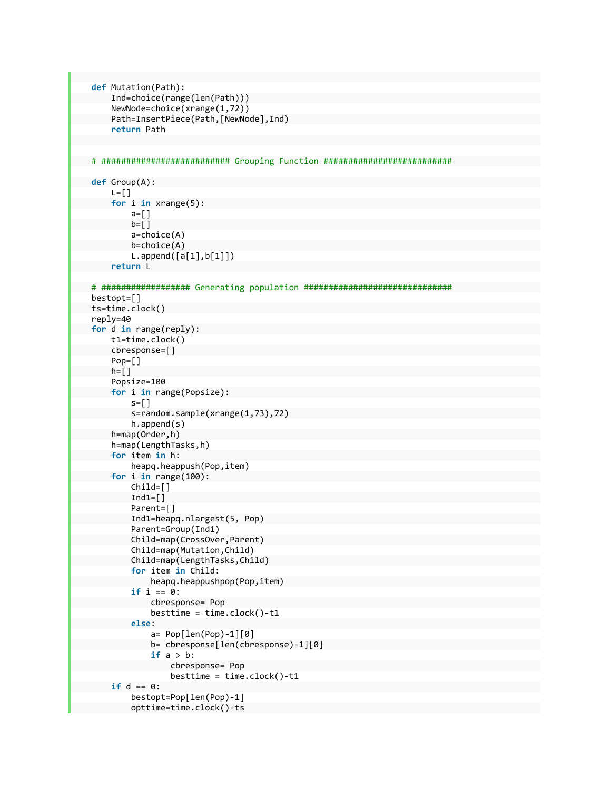```
    def Mutation(Path):  
              Ind=choice(range(len(Path)))  
              NewNode=choice(xrange(1,72))  
              Path=InsertPiece(Path,[NewNode],Ind)  
              return Path  
    # ########################## Grouping Function ##########################
    def Group(A):  
      L=[]
              for i in xrange(5):  
                         a=[]  
             b = []            a=choice(A)  
                         b=choice(A)  
                         L.append([a[1],b[1]])  
              return L  
    # ################## Generating population ##############################
    bestopt=[]  
    ts=time.clock()  
    reply=40  
    for d in range(reply):  
              t1=time.clock()  
              cbresponse=[]  
              Pop=[]  
      h = \lceil \cdot \rceil        Popsize=100  
              for i in range(Popsize):  
             s = \lceil \rceil            s=random.sample(xrange(1,73),72)  
                         h.append(s)  
              h=map(Order,h)  
              h=map(LengthTasks,h)  
              for item in h:  
                         heapq.heappush(Pop,item)  
              for i in range(100):  
                         Child=[]  
             Ind1=[]            Parent=[]  
                         Ind1=heapq.nlargest(5, Pop)  
                         Parent=Group(Ind1)  
                         Child=map(CrossOver,Parent)  
                         Child=map(Mutation,Child)  
                         Child=map(LengthTasks,Child)  
                         for item in Child:  
                                   heapq.heappushpop(Pop,item)  
                         if i == 0:  
                                  cbresponse= Pop  
                   besttime = time.close() - t1            else:  
                                   a= Pop[len(Pop)‐1][0]  
                                   b= cbresponse[len(cbresponse)‐1][0]  
                                   if a > b:  
                                             cbresponse= Pop  
                         besttime = time.close() - t1        if d == 0:  
                         bestopt=Pop[len(Pop)‐1]  
                         opttime=time.clock()‐ts
```